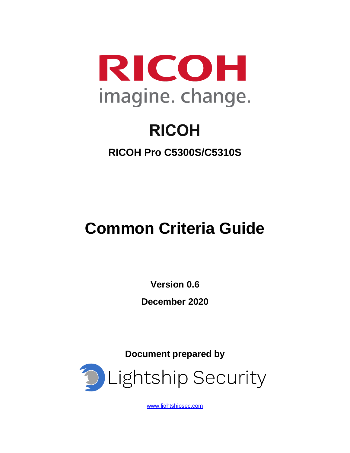

# **RICOH**

**RICOH Pro C5300S/C5310S**

# **Common Criteria Guide**

**Version 0.6**

**December 2020**

**Document prepared by**



[www.lightshipsec.com](http://www.lightshipsec.com/)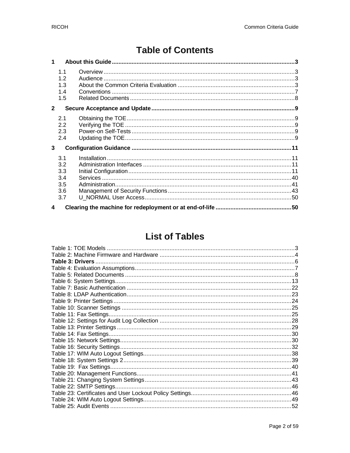# **Table of Contents**

| 1            |                                               |  |
|--------------|-----------------------------------------------|--|
|              | 1.1<br>1.2<br>1.3<br>1.4<br>1.5               |  |
| $\mathbf{2}$ |                                               |  |
|              | 2.1<br>2.2<br>2.3<br>2.4                      |  |
| 3            |                                               |  |
|              | 3.1<br>3.2<br>3.3<br>3.4<br>3.5<br>3.6<br>3.7 |  |
| 4            |                                               |  |

# **List of Tables**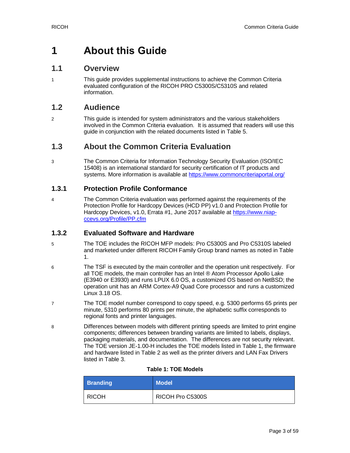# <span id="page-2-0"></span>**1 About this Guide**

# <span id="page-2-1"></span>**1.1 Overview**

1 This guide provides supplemental instructions to achieve the Common Criteria evaluated configuration of the RICOH PRO C5300S/C5310S and related information.

# <span id="page-2-2"></span>**1.2 Audience**

2 This guide is intended for system administrators and the various stakeholders involved in the Common Criteria evaluation. It is assumed that readers will use this guide in conjunction with the related documents listed in [Table 5.](#page-7-1)

# <span id="page-2-3"></span>**1.3 About the Common Criteria Evaluation**

3 The Common Criteria for Information Technology Security Evaluation (ISO/IEC 15408) is an international standard for security certification of IT products and systems. More information is available at<https://www.commoncriteriaportal.org/>

#### **1.3.1 Protection Profile Conformance**

4 The Common Criteria evaluation was performed against the requirements of the Protection Profile for Hardcopy Devices (HCD PP) v1.0 and Protection Profile for Hardcopy Devices, v1.0, Errata #1, June 2017 available at [https://www.niap](https://www.niap-ccevs.org/Profile/PP.cfm)[ccevs.org/Profile/PP.cfm](https://www.niap-ccevs.org/Profile/PP.cfm)

#### **1.3.2 Evaluated Software and Hardware**

- 5 The TOE includes the RICOH MFP models: Pro C5300S and Pro C5310S labeled and marketed under different RICOH Family Group brand names as noted in Table 1.
- 6 The TSF is executed by the main controller and the operation unit respectively. For all TOE models, the main controller has an Intel ® Atom Processor Apollo Lake (E3940 or E3930) and runs LPUX 6.0 OS, a customized OS based on NetBSD; the operation unit has an ARM Cortex-A9 Quad Core processor and runs a customized Linux 3.18 OS.
- 7 The TOE model number correspond to copy speed, e.g. 5300 performs 65 prints per minute, 5310 performs 80 prints per minute, the alphabetic suffix corresponds to regional fonts and printer languages.
- 8 Differences between models with different printing speeds are limited to print engine components; differences between branding variants are limited to labels, displays, packaging materials, and documentation. The differences are not security relevant. The TOE version JE-1.00-H includes the TOE models listed in Table 1, the firmware and hardware listed in Table 2 as well as the printer drivers and LAN Fax Drivers listed in Table 3.

#### **Table 1: TOE Models**

<span id="page-2-4"></span>

| <b>Branding</b> | <b>Model</b>     |
|-----------------|------------------|
| <b>RICOH</b>    | RICOH Pro C5300S |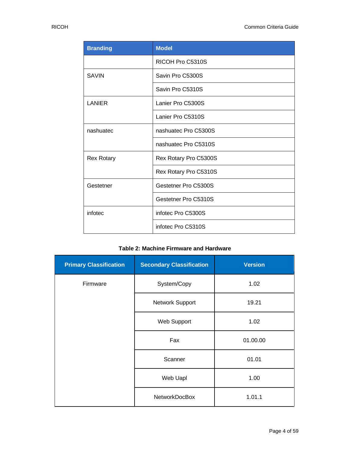| <b>Branding</b>   | <b>Model</b>          |
|-------------------|-----------------------|
|                   | RICOH Pro C5310S      |
| <b>SAVIN</b>      | Savin Pro C5300S      |
|                   | Savin Pro C5310S      |
| <b>LANIER</b>     | Lanier Pro C5300S     |
|                   | Lanier Pro C5310S     |
| nashuatec         | nashuatec Pro C5300S  |
|                   | nashuatec Pro C5310S  |
| <b>Rex Rotary</b> | Rex Rotary Pro C5300S |
|                   | Rex Rotary Pro C5310S |
| Gestetner         | Gestetner Pro C5300S  |
|                   | Gestetner Pro C5310S  |
| infotec           | infotec Pro C5300S    |
|                   | infotec Pro C5310S    |

#### **Table 2: Machine Firmware and Hardware**

<span id="page-3-0"></span>

| <b>Primary Classification</b> | <b>Secondary Classification</b> | <b>Version</b> |
|-------------------------------|---------------------------------|----------------|
| Firmware                      | System/Copy                     | 1.02           |
|                               | Network Support                 | 19.21          |
|                               | Web Support                     | 1.02           |
|                               | Fax                             | 01.00.00       |
|                               | Scanner                         | 01.01          |
|                               | Web Uapl                        | 1.00           |
|                               | <b>NetworkDocBox</b>            | 1.01.1         |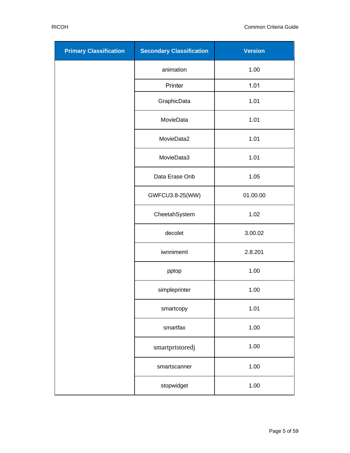| <b>Primary Classification</b> | <b>Secondary Classification</b> | <b>Version</b> |
|-------------------------------|---------------------------------|----------------|
|                               | animation                       | 1.00           |
|                               | Printer                         | 1.01           |
|                               | GraphicData                     | 1.01           |
|                               | MovieData                       | 1.01           |
|                               | MovieData2                      | 1.01           |
|                               | MovieData3                      | 1.01           |
|                               | Data Erase Onb                  | 1.05           |
|                               | GWFCU3.8-25(WW)                 | 01.00.00       |
|                               | CheetahSystem                   | 1.02           |
|                               | decolet                         | 3.00.02        |
|                               | iwnnimeml                       | 2.8.201        |
|                               | pptop                           | 1.00           |
|                               | simpleprinter                   | 1.00           |
|                               | smartcopy                       | 1.01           |
|                               | smartfax                        | 1.00           |
|                               | smartprtstoredj                 | 1.00           |
|                               | smartscanner                    | 1.00           |
|                               | stopwidget                      | 1.00           |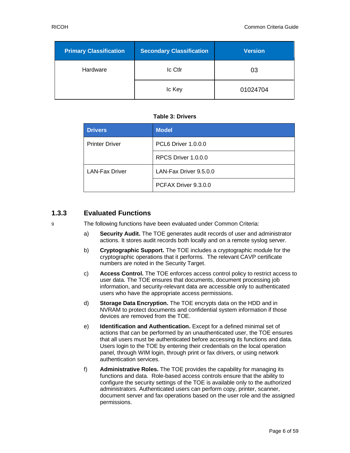| <b>Primary Classification</b> | <b>Secondary Classification</b> | <b>Version</b> |
|-------------------------------|---------------------------------|----------------|
| Hardware                      | Ic Ctlr                         | 03             |
|                               | Ic Key                          | 01024704       |

#### **Table 3: Drivers**

<span id="page-5-0"></span>

| <b>Drivers</b>        | <b>Model</b>           |
|-----------------------|------------------------|
| <b>Printer Driver</b> | PCL6 Driver 1.0.0.0    |
|                       | RPCS Driver 1.0.0.0    |
| <b>LAN-Fax Driver</b> | LAN-Fax Driver 9.5.0.0 |
|                       | PCFAX Driver 9.3.0.0   |

# **1.3.3 Evaluated Functions**

9 The following functions have been evaluated under Common Criteria:

- a) **Security Audit.** The TOE generates audit records of user and administrator actions. It stores audit records both locally and on a remote syslog server.
- b) **Cryptographic Support.** The TOE includes a cryptographic module for the cryptographic operations that it performs. The relevant CAVP certificate numbers are noted in the Security Target.
- c) **Access Control.** The TOE enforces access control policy to restrict access to user data. The TOE ensures that documents, document processing job information, and security-relevant data are accessible only to authenticated users who have the appropriate access permissions.
- d) **Storage Data Encryption.** The TOE encrypts data on the HDD and in NVRAM to protect documents and confidential system information if those devices are removed from the TOE.
- e) **Identification and Authentication.** Except for a defined minimal set of actions that can be performed by an unauthenticated user, the TOE ensures that all users must be authenticated before accessing its functions and data. Users login to the TOE by entering their credentials on the local operation panel, through WIM login, through print or fax drivers, or using network authentication services.
- f) **Administrative Roles.** The TOE provides the capability for managing its functions and data. Role-based access controls ensure that the ability to configure the security settings of the TOE is available only to the authorized administrators. Authenticated users can perform copy, printer, scanner, document server and fax operations based on the user role and the assigned permissions.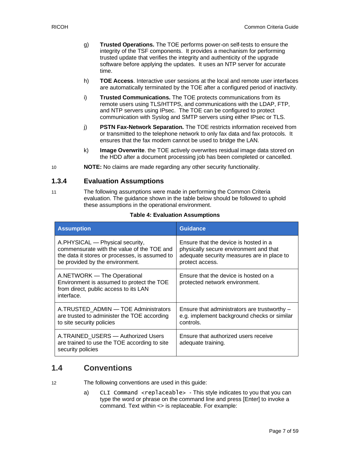- g) **Trusted Operations.** The TOE performs power-on self-tests to ensure the integrity of the TSF components. It provides a mechanism for performing trusted update that verifies the integrity and authenticity of the upgrade software before applying the updates. It uses an NTP server for accurate time.
- h) **TOE Access**. Interactive user sessions at the local and remote user interfaces are automatically terminated by the TOE after a configured period of inactivity.
- i) **Trusted Communications.** The TOE protects communications from its remote users using TLS/HTTPS, and communications with the LDAP, FTP, and NTP servers using IPsec. The TOE can be configured to protect communication with Syslog and SMTP servers using either IPsec or TLS.
- j) **PSTN Fax-Network Separation.** The TOE restricts information received from or transmitted to the telephone network to only fax data and fax protocols. It ensures that the fax modem cannot be used to bridge the LAN.
- k) **Image Overwrite**. the TOE actively overwrites residual image data stored on the HDD after a document processing job has been completed or cancelled.
- 10 **NOTE:** No claims are made regarding any other security functionality.

#### **1.3.4 Evaluation Assumptions**

11 The following assumptions were made in performing the Common Criteria evaluation. The guidance shown in the table below should be followed to uphold these assumptions in the operational environment.

<span id="page-6-1"></span>

| <b>Assumption</b>                                                                                                                                                  | <b>Guidance</b>                                                                                                                                  |  |
|--------------------------------------------------------------------------------------------------------------------------------------------------------------------|--------------------------------------------------------------------------------------------------------------------------------------------------|--|
| A.PHYSICAL — Physical security,<br>commensurate with the value of the TOE and<br>the data it stores or processes, is assumed to<br>be provided by the environment. | Ensure that the device is hosted in a<br>physically secure environment and that<br>adequate security measures are in place to<br>protect access. |  |
| A.NETWORK — The Operational<br>Environment is assumed to protect the TOE<br>from direct, public access to its LAN<br>interface.                                    | Ensure that the device is hosted on a<br>protected network environment.                                                                          |  |
| A.TRUSTED ADMIN - TOE Administrators<br>are trusted to administer the TOE according<br>to site security policies                                                   | Ensure that administrators are trustworthy -<br>e.g. implement background checks or similar<br>controls.                                         |  |
| A.TRAINED USERS - Authorized Users<br>are trained to use the TOE according to site<br>security policies                                                            | Ensure that authorized users receive<br>adequate training.                                                                                       |  |

#### **Table 4: Evaluation Assumptions**

# <span id="page-6-0"></span>**1.4 Conventions**

12 The following conventions are used in this guide:

a) CLI Command <replaceable> - This style indicates to you that you can type the word or phrase on the command line and press [Enter] to invoke a command. Text within <> is replaceable. For example: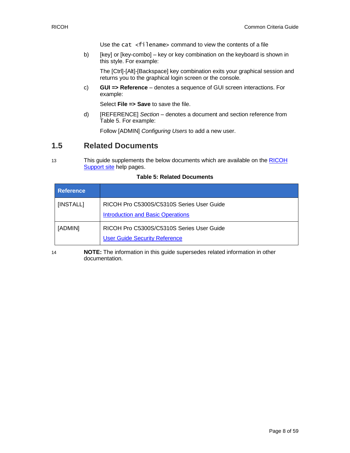Use the cat  $\leq$  filename  $>$  command to view the contents of a file

b) [key] or [key-combo] – key or key combination on the keyboard is shown in this style. For example:

The [Ctrl]-[Alt]-[Backspace] key combination exits your graphical session and returns you to the graphical login screen or the console.

c) **GUI => Reference** – denotes a sequence of GUI screen interactions. For example:

Select **File => Save** to save the file.

d) [REFERENCE] *Section* – denotes a document and section reference from [Table 5.](#page-7-1) For example:

Follow [ADMIN] *Configuring Users* to add a new user.

# <span id="page-7-0"></span>**1.5 Related Documents**

13 This guide supplements the below documents which are available on the [RICOH](https://support.ricoh.com/services/device/ccmanual/PRO_C5300_C5310/en-GB/booklist/int/index_book.htm) [Support site](https://support.ricoh.com/services/device/ccmanual/PRO_C5300_C5310/en-GB/booklist/int/index_book.htm) help pages.

<span id="page-7-1"></span>

| <b>Reference</b> |                                                                                       |
|------------------|---------------------------------------------------------------------------------------|
| [INSTALL]        | RICOH Pro C5300S/C5310S Series User Guide<br><b>Introduction and Basic Operations</b> |
| [ADMIN]          | RICOH Pro C5300S/C5310S Series User Guide<br><b>User Guide Security Reference</b>     |

#### **Table 5: Related Documents**

14 **NOTE:** The information in this guide supersedes related information in other documentation.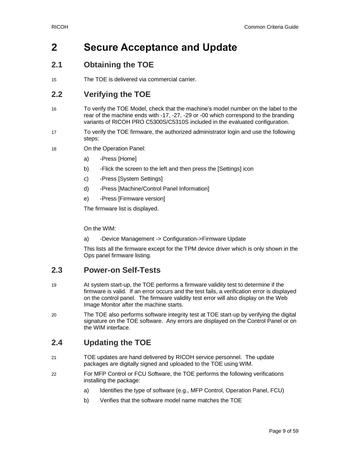# <span id="page-8-0"></span>**2 Secure Acceptance and Update**

# <span id="page-8-1"></span>**2.1 Obtaining the TOE**

15 The TOE is delivered via commercial carrier.

# <span id="page-8-2"></span>**2.2 Verifying the TOE**

- 16 To verify the TOE Model, check that the machine's model number on the label to the rear of the machine ends with -17, -27, -29 or -00 which correspond to the branding variants of RICOH PRO C5300S/C5310S included in the evaluated configuration.
- 17 To verify the TOE firmware, the authorized administrator login and use the following steps:
- 18 On the Operation Panel:
	- a) -Press [Home]
	- b) -Flick the screen to the left and then press the [Settings] icon
	- c) -Press [System Settings]
	- d) -Press [Machine/Control Panel Information]
	- e) -Press [Firmware version]

The firmware list is displayed.

On the WIM:

a) -Device Management -> Configuration->Firmware Update

This lists all the firmware except for the TPM device driver which is only shown in the Ops panel firmware listing.

# <span id="page-8-3"></span>**2.3 Power-on Self-Tests**

- 19 At system start-up, the TOE performs a firmware validity test to determine if the firmware is valid. If an error occurs and the test fails, a verification error is displayed on the control panel. The firmware validity test error will also display on the Web Image Monitor after the machine starts.
- 20 The TOE also performs software integrity test at TOE start-up by verifying the digital signature on the TOE software. Any errors are displayed on the Control Panel or on the WIM interface.

# <span id="page-8-4"></span>**2.4 Updating the TOE**

- 21 TOE updates are hand delivered by RICOH service personnel. The update packages are digitally signed and uploaded to the TOE using WIM.
- 22 For MFP Control or FCU Software, the TOE performs the following verifications installing the package:
	- a) Identifies the type of software (e.g., MFP Control, Operation Panel, FCU)
	- b) Verifies that the software model name matches the TOE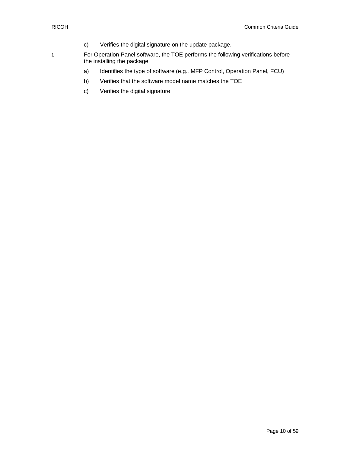- c) Verifies the digital signature on the update package.
- 1 For Operation Panel software, the TOE performs the following verifications before the installing the package:
	- a) Identifies the type of software (e.g., MFP Control, Operation Panel, FCU)
	- b) Verifies that the software model name matches the TOE
	- c) Verifies the digital signature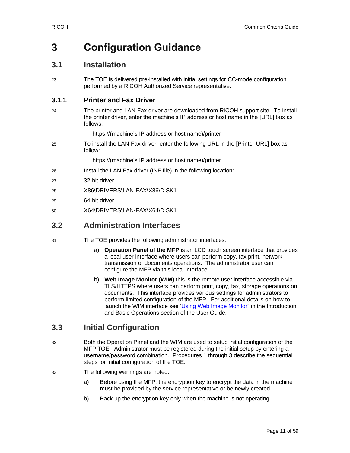# <span id="page-10-0"></span>**3 Configuration Guidance**

# <span id="page-10-1"></span>**3.1 Installation**

23 The TOE is delivered pre-installed with initial settings for CC-mode configuration performed by a RICOH Authorized Service representative.

### **3.1.1 Printer and Fax Driver**

24 The printer and LAN-Fax driver are downloaded from RICOH support site. To install the printer driver, enter the machine's IP address or host name in the [URL] box as follows:

https://(machine's IP address or host name)/printer

25 To install the LAN-Fax driver, enter the following URL in the [Printer URL] box as follow:

https://(machine's IP address or host name)/printer

- 26 Install the LAN-Fax driver (INF file) in the following location:
- 27 32-bit driver
- 28 X86\DRIVERS\LAN-FAX\X86\DISK1
- 29 64-bit driver
- 30 X64\DRIVERS\LAN-FAX\X64\DISK1

# <span id="page-10-2"></span>**3.2 Administration Interfaces**

- 31 The TOE provides the following administrator interfaces:
	- a) **Operation Panel of the MFP** is an LCD touch screen interface that provides a local user interface where users can perform copy, fax print, network transmission of documents operations. The administrator user can configure the MFP via this local interface.
	- b) **Web Image Monitor (WIM)** this is the remote user interface accessible via TLS/HTTPS where users can perform print, copy, fax, storage operations on documents. This interface provides various settings for administrators to perform limited configuration of the MFP. For additional details on how to launch the WIM interface see ['Using Web Image Monitor"](https://support.ricoh.com/services/device/ccmanual/PRO_C5300_C5310/en-GB/intro/int/wim.htm) in the Introduction and Basic Operations section of the User Guide.

# <span id="page-10-3"></span>**3.3 Initial Configuration**

- 32 Both the Operation Panel and the WIM are used to setup initial configuration of the MFP TOE. Administrator must be registered during the initial setup by entering a username/password combination. Procedures 1 through 3 describe the sequential steps for initial configuration of the TOE.
- 33 The following warnings are noted:
	- a) Before using the MFP, the encryption key to encrypt the data in the machine must be provided by the service representative or be newly created.
	- b) Back up the encryption key only when the machine is not operating.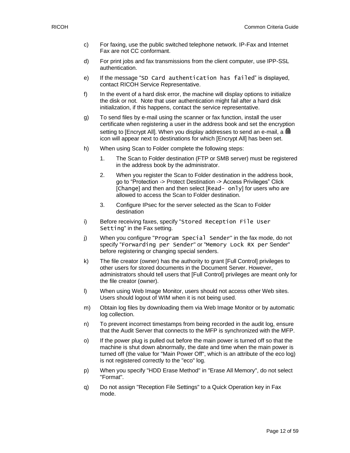- c) For faxing, use the public switched telephone network. IP-Fax and Internet Fax are not CC conformant.
- d) For print jobs and fax transmissions from the client computer, use IPP-SSL authentication.
- e) If the message "SD Card authentication has failed" is displayed, contact RICOH Service Representative.
- f) In the event of a hard disk error, the machine will display options to initialize the disk or not. Note that user authentication might fail after a hard disk initialization, if this happens, contact the service representative.
- g) To send files by e-mail using the scanner or fax function, install the user certificate when registering a user in the address book and set the encryption setting to [Encrypt All]. When you display addresses to send an e-mail, a  $\blacksquare$ icon will appear next to destinations for which [Encrypt All] has been set.
- h) When using Scan to Folder complete the following steps:
	- 1. The Scan to Folder destination (FTP or SMB server) must be registered in the address book by the administrator.
	- 2. When you register the Scan to Folder destination in the address book, go to "Protection -> Protect Destination -> Access Privileges" Click [Change] and then and then select [Read- on]y] for users who are allowed to access the Scan to Folder destination.
	- 3. Configure IPsec for the server selected as the Scan to Folder destination
- i) Before receiving faxes, specify "Stored Reception File User Setting" in the Fax setting.
- j) When you configure "Program Special Sender" in the fax mode, do not specify "Forwarding per Sender" or "Memory Lock RX per Sender" before registering or changing special senders.
- k) The file creator (owner) has the authority to grant [Full Control] privileges to other users for stored documents in the Document Server. However, administrators should tell users that [Full Control] privileges are meant only for the file creator (owner).
- l) When using Web Image Monitor, users should not access other Web sites. Users should logout of WIM when it is not being used.
- m) Obtain log files by downloading them via Web Image Monitor or by automatic log collection.
- n) To prevent incorrect timestamps from being recorded in the audit log, ensure that the Audit Server that connects to the MFP is synchronized with the MFP.
- o) If the power plug is pulled out before the main power is turned off so that the machine is shut down abnormally, the date and time when the main power is turned off (the value for "Main Power Off", which is an attribute of the eco log) is not registered correctly to the "eco" log.
- p) When you specify "HDD Erase Method" in "Erase All Memory", do not select "Format".
- q) Do not assign "Reception File Settings" to a Quick Operation key in Fax mode.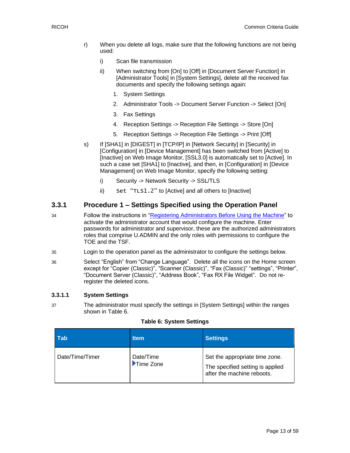- r) When you delete all logs, make sure that the following functions are not being used:
	- i) Scan file transmission
	- ii) When switching from [On] to [Off] in [Document Server Function] in [Administrator Tools] in [System Settings], delete all the received fax documents and specify the following settings again:
		- 1. System Settings
		- 2. Administrator Tools -> Document Server Function -> Select [On]
		- 3. Fax Settings
		- 4. Reception Settings -> Reception File Settings -> Store [On]
		- 5. Reception Settings -> Reception File Settings -> Print [Off]
- s) If [SHA1] in [DIGEST] in [TCP/IP] in [Network Security] in [Security] in [Configuration] in [Device Management] has been switched from [Active] to [Inactive] on Web Image Monitor, [SSL3.0] is automatically set to [Active]. In such a case set [SHA1] to [Inactive], and then, in [Configuration] in [Device Management] on Web Image Monitor, specify the following setting:
	- i) Security -> Network Security -> SSL/TLS
	- ii) Set "TLS1.2" to [Active] and all others to [Inactive]

#### **3.3.1 Procedure 1 – Settings Specified using the Operation Panel**

- 34 Follow the instructions in ["Registering Administrators Before Using the Machine"](https://support.ricoh.com/services/device/ccmanual/PRO_C5300_C5310/en-GB/security/int/administrator.htm) to activate the administrator account that would configure the machine. Enter passwords for administrator and supervisor, these are the authorized administrators roles that comprise U.ADMIN and the only roles with permissions to configure the TOE and the TSF.
- 35 Login to the operation panel as the administrator to configure the settings below.
- 36 Select "English" from "Change Language". Delete all the icons on the Home screen except for "Copier (Classic)", "Scanner (Classic)", "Fax (Classic)" "settings", "Printer", "Document Server (Classic)", "Address Book", "Fax RX File Widget". Do not reregister the deleted icons.

#### **3.3.1.1 System Settings**

37 The administrator must specify the settings in [System Settings] within the ranges shown in [Table 6.](#page-12-0)

#### **Table 6: System Settings**

<span id="page-12-0"></span>

| l Tab           | ltem                   | <b>Settings</b>                                                                                  |
|-----------------|------------------------|--------------------------------------------------------------------------------------------------|
| Date/Time/Timer | Date/Time<br>Time Zone | Set the appropriate time zone.<br>The specified setting is applied<br>after the machine reboots. |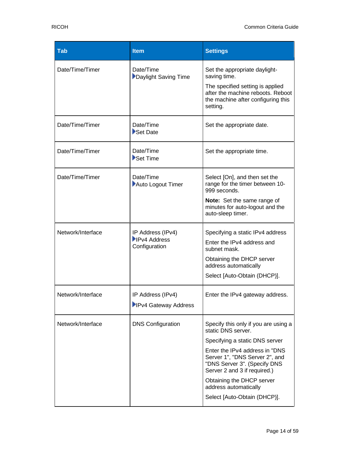| <b>Tab</b>        | <b>Item</b>                                               | <b>Settings</b>                                                                                                                  |
|-------------------|-----------------------------------------------------------|----------------------------------------------------------------------------------------------------------------------------------|
| Date/Time/Timer   | Date/Time<br>Daylight Saving Time                         | Set the appropriate daylight-<br>saving time.                                                                                    |
|                   |                                                           | The specified setting is applied<br>after the machine reboots. Reboot<br>the machine after configuring this<br>setting.          |
| Date/Time/Timer   | Date/Time<br>Set Date                                     | Set the appropriate date.                                                                                                        |
| Date/Time/Timer   | Date/Time<br>Set Time                                     | Set the appropriate time.                                                                                                        |
| Date/Time/Timer   | Date/Time<br>Auto Logout Timer                            | Select [On], and then set the<br>range for the timer between 10-<br>999 seconds.                                                 |
|                   |                                                           | <b>Note:</b> Set the same range of<br>minutes for auto-logout and the<br>auto-sleep timer.                                       |
| Network/Interface | IP Address (IPv4)<br><b>IPv4 Address</b><br>Configuration | Specifying a static IPv4 address                                                                                                 |
|                   |                                                           | Enter the IPv4 address and<br>subnet mask.                                                                                       |
|                   |                                                           | Obtaining the DHCP server<br>address automatically                                                                               |
|                   |                                                           | Select [Auto-Obtain (DHCP)].                                                                                                     |
| Network/Interface | IP Address (IPv4)                                         | Enter the IPv4 gateway address.                                                                                                  |
|                   | IPv4 Gateway Address                                      |                                                                                                                                  |
| Network/Interface | <b>DNS Configuration</b>                                  | Specify this only if you are using a<br>static DNS server.                                                                       |
|                   |                                                           | Specifying a static DNS server                                                                                                   |
|                   |                                                           | Enter the IPv4 address in "DNS<br>Server 1", "DNS Server 2", and<br>"DNS Server 3". (Specify DNS<br>Server 2 and 3 if required.) |
|                   |                                                           | Obtaining the DHCP server<br>address automatically                                                                               |
|                   |                                                           | Select [Auto-Obtain (DHCP)].                                                                                                     |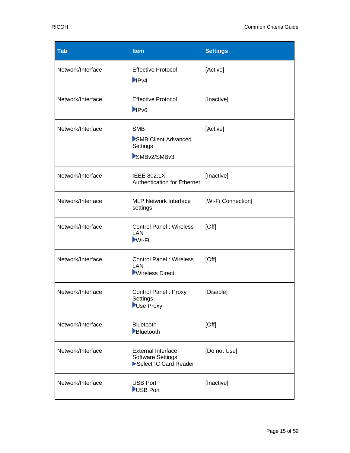| Tab               | <b>Item</b>                                                                    | <b>Settings</b>    |
|-------------------|--------------------------------------------------------------------------------|--------------------|
| Network/Interface | <b>Effective Protocol</b><br>P <sub>1</sub> P <sub>V4</sub>                    | [Active]           |
| Network/Interface | <b>Effective Protocol</b><br>PV6                                               | [Inactive]         |
| Network/Interface | <b>SMB</b><br>SMB Client Advanced<br>Settings<br>SMBv2/SMBv3                   | [Active]           |
| Network/Interface | <b>IEEE 802.1X</b><br><b>Authentication for Ethernet</b>                       | [Inactive]         |
| Network/Interface | <b>MLP Network Interface</b><br>settings                                       | [Wi-Fi Connection] |
| Network/Interface | <b>Control Panel: Wireless</b><br>LAN<br><b>Wi-Fi</b>                          | [Off]              |
| Network/Interface | <b>Control Panel: Wireless</b><br>LAN<br><b>Wireless Direct</b>                | [Off]              |
| Network/Interface | <b>Control Panel: Proxy</b><br>Settings<br>Use Proxy                           | [Disable]          |
| Network/Interface | Bluetooth<br>Bluetooth                                                         | [Off]              |
| Network/Interface | <b>External Interface</b><br><b>Software Settings</b><br>Select IC Card Reader | [Do not Use]       |
| Network/Interface | <b>USB Port</b><br>USB Port                                                    | [Inactive]         |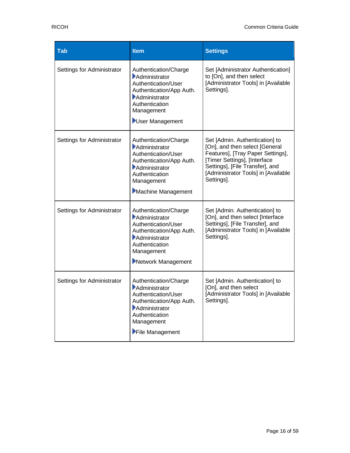| <b>Tab</b>                 | <b>Item</b>                                                                                                                                                      | <b>Settings</b>                                                                                                                                                                                                               |
|----------------------------|------------------------------------------------------------------------------------------------------------------------------------------------------------------|-------------------------------------------------------------------------------------------------------------------------------------------------------------------------------------------------------------------------------|
| Settings for Administrator | Authentication/Charge<br>Administrator<br>Authentication/User<br>Authentication/App Auth.<br>Administrator<br>Authentication<br>Management<br>User Management    | Set [Administrator Authentication]<br>to [On], and then select<br>[Administrator Tools] in [Available<br>Settings].                                                                                                           |
| Settings for Administrator | Authentication/Charge<br>Administrator<br>Authentication/User<br>Authentication/App Auth.<br>Administrator<br>Authentication<br>Management<br>Machine Management | Set [Admin. Authentication] to<br>[On], and then select [General<br>Features], [Tray Paper Settings],<br>[Timer Settings], [Interface<br>Settings], [File Transfer], and<br>[Administrator Tools] in [Available<br>Settings]. |
| Settings for Administrator | Authentication/Charge<br>Administrator<br>Authentication/User<br>Authentication/App Auth.<br>Administrator<br>Authentication<br>Management<br>Network Management | Set [Admin. Authentication] to<br>[On], and then select [Interface<br>Settings], [File Transfer], and<br>[Administrator Tools] in [Available<br>Settings].                                                                    |
| Settings for Administrator | Authentication/Charge<br>Administrator<br>Authentication/User<br>Authentication/App Auth.<br>Administrator<br>Authentication<br>Management<br>File Management    | Set [Admin. Authentication] to<br>[On], and then select<br>[Administrator Tools] in [Available<br>Settings].                                                                                                                  |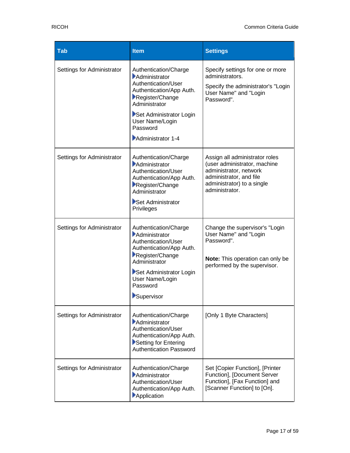| <b>Tab</b>                 | <b>Item</b>                                                                                                                                                                                                  | <b>Settings</b>                                                                                                                                                     |
|----------------------------|--------------------------------------------------------------------------------------------------------------------------------------------------------------------------------------------------------------|---------------------------------------------------------------------------------------------------------------------------------------------------------------------|
| Settings for Administrator | Authentication/Charge<br>Administrator<br>Authentication/User<br>Authentication/App Auth.<br>Register/Change<br>Administrator<br>Set Administrator Login<br>User Name/Login<br>Password<br>Administrator 1-4 | Specify settings for one or more<br>administrators.<br>Specify the administrator's "Login<br>User Name" and "Login<br>Password".                                    |
| Settings for Administrator | Authentication/Charge<br>Administrator<br>Authentication/User<br>Authentication/App Auth.<br>Register/Change<br>Administrator<br>Set Administrator<br>Privileges                                             | Assign all administrator roles<br>(user administrator, machine<br>administrator, network<br>administrator, and file<br>administrator) to a single<br>administrator. |
| Settings for Administrator | Authentication/Charge<br>Administrator<br>Authentication/User<br>Authentication/App Auth.<br>Register/Change<br>Administrator<br>Set Administrator Login<br>User Name/Login<br>Password<br>Supervisor        | Change the supervisor's "Login<br>User Name" and "Login<br>Password".<br>Note: This operation can only be<br>performed by the supervisor.                           |
| Settings for Administrator | Authentication/Charge<br>Administrator<br>Authentication/User<br>Authentication/App Auth.<br>Setting for Entering<br><b>Authentication Password</b>                                                          | [Only 1 Byte Characters]                                                                                                                                            |
| Settings for Administrator | Authentication/Charge<br>Administrator<br>Authentication/User<br>Authentication/App Auth.<br>Application                                                                                                     | Set [Copier Function], [Printer<br>Function], [Document Server<br>Function], [Fax Function] and<br>[Scanner Function] to [On].                                      |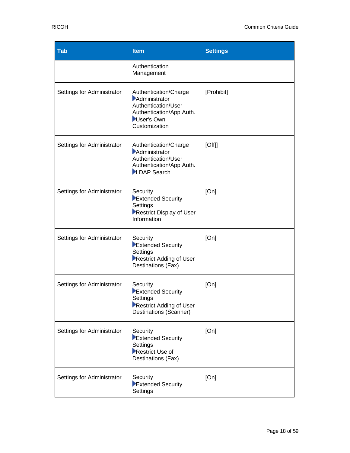| <b>Tab</b>                 | <b>Item</b>                                                                                                              | <b>Settings</b> |
|----------------------------|--------------------------------------------------------------------------------------------------------------------------|-----------------|
|                            | Authentication<br>Management                                                                                             |                 |
| Settings for Administrator | Authentication/Charge<br>Administrator<br>Authentication/User<br>Authentication/App Auth.<br>User's Own<br>Customization | [Prohibit]      |
| Settings for Administrator | Authentication/Charge<br>Administrator<br>Authentication/User<br>Authentication/App Auth.<br>LDAP Search                 | [Off]           |
| Settings for Administrator | Security<br>Extended Security<br>Settings<br>Restrict Display of User<br>Information                                     | [On]            |
| Settings for Administrator | Security<br>Extended Security<br>Settings<br>Restrict Adding of User<br>Destinations (Fax)                               | [On]            |
| Settings for Administrator | Security<br>Extended Security<br>Settings<br>Restrict Adding of User<br>Destinations (Scanner)                           | [On]            |
| Settings for Administrator | Security<br>Extended Security<br>Settings<br>Restrict Use of<br>Destinations (Fax)                                       | [On]            |
| Settings for Administrator | Security<br>Extended Security<br>Settings                                                                                | [On]            |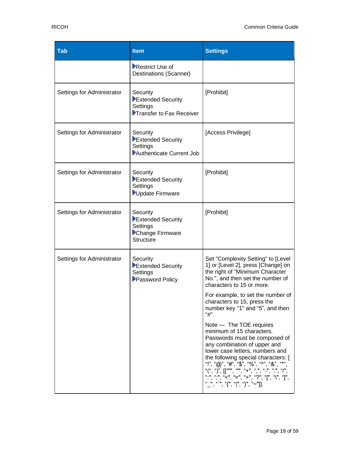| <b>Tab</b>                 | <b>Item</b>                                                                      | <b>Settings</b>                                                                                                                                                                                                                            |
|----------------------------|----------------------------------------------------------------------------------|--------------------------------------------------------------------------------------------------------------------------------------------------------------------------------------------------------------------------------------------|
|                            | Restrict Use of<br>Destinations (Scanner)                                        |                                                                                                                                                                                                                                            |
| Settings for Administrator | Security<br>Extended Security<br>Settings<br>Transfer to Fax Receiver            | [Prohibit]                                                                                                                                                                                                                                 |
| Settings for Administrator | Security<br>Extended Security<br>Settings<br>Authenticate Current Job            | [Access Privilege]                                                                                                                                                                                                                         |
| Settings for Administrator | Security<br>Extended Security<br>Settings<br>Update Firmware                     | [Prohibit]                                                                                                                                                                                                                                 |
| Settings for Administrator | Security<br>Extended Security<br>Settings<br>Change Firmware<br><b>Structure</b> | [Prohibit]                                                                                                                                                                                                                                 |
| Settings for Administrator | Security<br>Extended Security<br>Settings<br>Password Policy                     | Set "Complexity Setting" to [Level<br>1] or [Level 2], press [Change] on<br>the right of "Minimum Character<br>No.", and then set the number of<br>characters to 15 or more.                                                               |
|                            |                                                                                  | For example, to set the number of<br>characters to 15, press the<br>number key "1" and "5", and then<br>"#".                                                                                                                               |
|                            |                                                                                  | Note - The TOE requires<br>minimum of 15 characters.<br>Passwords must be composed of<br>any combination of upper and<br>lower case letters, numbers and<br>the following special characters: [<br>"!", "@", "#", "\$", "%", "^", "&", "*" |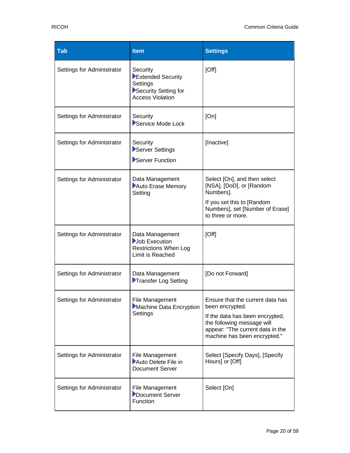| <b>Tab</b>                 | <b>Item</b>                                                                                  | <b>Settings</b>                                                                                                                                                                          |
|----------------------------|----------------------------------------------------------------------------------------------|------------------------------------------------------------------------------------------------------------------------------------------------------------------------------------------|
| Settings for Administrator | Security<br>Extended Security<br>Settings<br>Security Setting for<br><b>Access Violation</b> | [Off]                                                                                                                                                                                    |
| Settings for Administrator | Security<br>Service Mode Lock                                                                | [On]                                                                                                                                                                                     |
| Settings for Administrator | Security<br>Server Settings<br>Server Function                                               | [Inactive]                                                                                                                                                                               |
| Settings for Administrator | Data Management<br>Auto Erase Memory<br>Setting                                              | Select [On], and then select<br>[NSA], [DoD], or [Random<br>Numbers].<br>If you set this to [Random<br>Numbers], set [Number of Erase]<br>to three or more.                              |
| Settings for Administrator | Data Management<br>Job Execution<br><b>Restrictions When Log</b><br>Limit is Reached         | [Off]                                                                                                                                                                                    |
| Settings for Administrator | Data Management<br>Transfer Log Setting                                                      | [Do not Forward]                                                                                                                                                                         |
| Settings for Administrator | File Management<br>Machine Data Encryption<br>Settings                                       | Ensure that the current data has<br>been encrypted.<br>If the data has been encrypted,<br>the following message will<br>appear: "The current data in the<br>machine has been encrypted." |
| Settings for Administrator | File Management<br>Auto Delete File in<br><b>Document Server</b>                             | Select [Specify Days], [Specify<br>Hours] or [Off]                                                                                                                                       |
| Settings for Administrator | <b>File Management</b><br>Document Server<br>Function                                        | Select [On]                                                                                                                                                                              |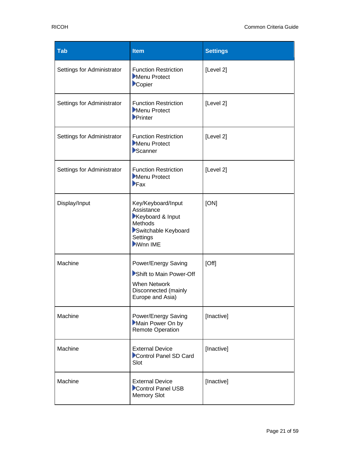| <b>Tab</b>                 | <b>Item</b>                                                                                                       | <b>Settings</b> |
|----------------------------|-------------------------------------------------------------------------------------------------------------------|-----------------|
| Settings for Administrator | <b>Function Restriction</b><br>Menu Protect<br>Copier                                                             | [Level 2]       |
| Settings for Administrator | <b>Function Restriction</b><br>Menu Protect<br>$\blacktriangleright$ Printer                                      | [Level 2]       |
| Settings for Administrator | <b>Function Restriction</b><br>Menu Protect<br>Scanner                                                            | [Level 2]       |
| Settings for Administrator | <b>Function Restriction</b><br>Menu Protect<br>$\blacktriangleright$ Fax                                          | [Level 2]       |
| Display/Input              | Key/Keyboard/Input<br>Assistance<br>Keyboard & Input<br>Methods<br>Switchable Keyboard<br>Settings<br>iWnn IME    | [ON]            |
| Machine                    | Power/Energy Saving<br>Shift to Main Power-Off<br><b>When Network</b><br>Disconnected (mainly<br>Europe and Asia) | [Off]           |
| Machine                    | Power/Energy Saving<br>Main Power On by<br><b>Remote Operation</b>                                                | [Inactive]      |
| Machine                    | <b>External Device</b><br>Control Panel SD Card<br>Slot                                                           | [Inactive]      |
| Machine                    | <b>External Device</b><br>Control Panel USB<br><b>Memory Slot</b>                                                 | [Inactive]      |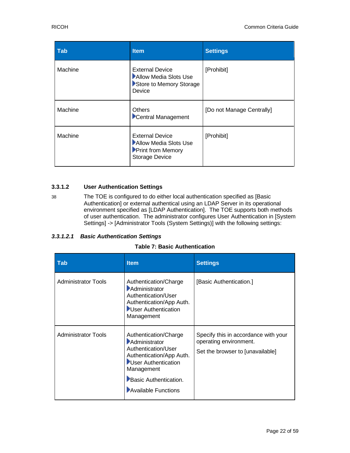| <b>Tab</b> | <b>Item</b>                                                                                          | <b>Settings</b>           |
|------------|------------------------------------------------------------------------------------------------------|---------------------------|
| Machine    | <b>External Device</b><br>Allow Media Slots Use<br>Store to Memory Storage<br>Device                 | [Prohibit]                |
| Machine    | <b>Others</b><br>Central Management                                                                  | [Do not Manage Centrally] |
| Machine    | <b>External Device</b><br>Allow Media Slots Use<br><b>Print from Memory</b><br><b>Storage Device</b> | [Prohibit]                |

#### **3.3.1.2 User Authentication Settings**

38 The TOE is configured to do either local authentication specified as [Basic Authentication] or external authentical using an LDAP Server in its operational environment specified as [LDAP Authentication]. The TOE supports both methods of user authentication. The administrator configures User Authentication in [System Settings] -> [Administrator Tools (System Settings)] with the following settings:

#### <span id="page-21-0"></span>*3.3.1.2.1 Basic Authentication Settings*

#### **Table 7: Basic Authentication**

| <b>Tab</b>                 | <b>Item</b>                                                                                                                                                                    | <b>Settings</b>                                                                                    |
|----------------------------|--------------------------------------------------------------------------------------------------------------------------------------------------------------------------------|----------------------------------------------------------------------------------------------------|
| <b>Administrator Tools</b> | Authentication/Charge<br>Administrator<br>Authentication/User<br>Authentication/App Auth.<br>User Authentication<br>Management                                                 | [Basic Authentication.]                                                                            |
| <b>Administrator Tools</b> | Authentication/Charge<br>Administrator<br>Authentication/User<br>Authentication/App Auth.<br>User Authentication<br>Management<br>Basic Authentication.<br>Available Functions | Specify this in accordance with your<br>operating environment.<br>Set the browser to [unavailable] |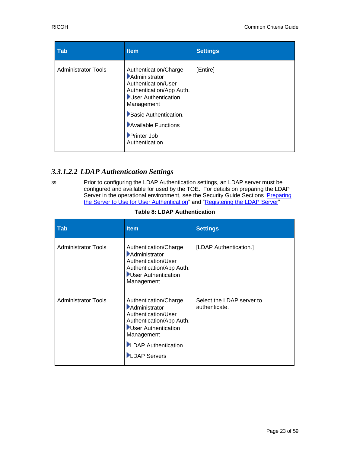| <b>Tab</b>                 | <b>Item</b>                                                                                                                    | <b>Settings</b> |
|----------------------------|--------------------------------------------------------------------------------------------------------------------------------|-----------------|
| <b>Administrator Tools</b> | Authentication/Charge<br>Administrator<br>Authentication/User<br>Authentication/App Auth.<br>User Authentication<br>Management | [Entire]        |
|                            | Basic Authentication.                                                                                                          |                 |
|                            | Available Functions                                                                                                            |                 |
|                            | Printer Job<br>Authentication                                                                                                  |                 |

## *3.3.1.2.2 LDAP Authentication Settings*

39 Prior to configuring the LDAP Authentication settings, an LDAP server must be configured and available for used by the TOE. For details on preparing the LDAP Server in the operational environment, see the Security Guide Sections 'Preparing [the Server to Use for User Authentication"](https://support.ricoh.com/services/device/ccmanual/PRO_C5300_C5310/en-GB/security/int/server.htm) and "Registering [the LDAP Server"](https://support.ricoh.com/services/device/ccmanual/PRO_C5300_C5310/en-GB/setup/int/ldap.htm)

|  | <b>Table 8: LDAP Authentication</b> |
|--|-------------------------------------|
|--|-------------------------------------|

<span id="page-22-0"></span>

| <b>Tab</b>                 | <b>Item</b>                                                                                                                                                                  | <b>Settings</b>                            |
|----------------------------|------------------------------------------------------------------------------------------------------------------------------------------------------------------------------|--------------------------------------------|
| <b>Administrator Tools</b> | Authentication/Charge<br>Administrator<br>Authentication/User<br>Authentication/App Auth.<br>User Authentication<br>Management                                               | [LDAP Authentication.]                     |
| <b>Administrator Tools</b> | Authentication/Charge<br>Administrator<br>Authentication/User<br>Authentication/App Auth.<br>User Authentication<br>Management<br>LDAP Authentication<br><b>LDAP Servers</b> | Select the LDAP server to<br>authenticate. |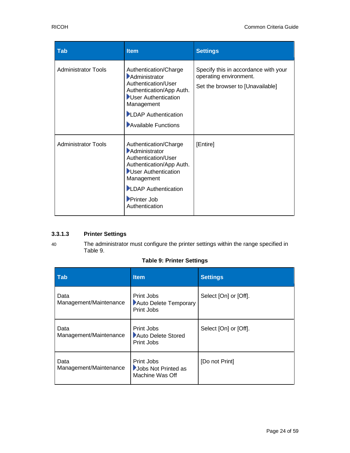| <b>Tab</b>                 | <b>Item</b>                                                                                                                                                                                   | <b>Settings</b>                                                                                    |
|----------------------------|-----------------------------------------------------------------------------------------------------------------------------------------------------------------------------------------------|----------------------------------------------------------------------------------------------------|
| <b>Administrator Tools</b> | Authentication/Charge<br>Administrator<br>Authentication/User<br>Authentication/App Auth.<br>User Authentication<br>Management<br>LDAP Authentication<br>Available Functions                  | Specify this in accordance with your<br>operating environment.<br>Set the browser to [Unavailable] |
| <b>Administrator Tools</b> | Authentication/Charge<br>Administrator<br>Authentication/User<br>Authentication/App Auth.<br>User Authentication<br>Management<br>LDAP Authentication<br><b>Printer Job</b><br>Authentication | [Entire]                                                                                           |

### **3.3.1.3 Printer Settings**

40 The administrator must configure the printer settings within the range specified in [Table 9.](#page-23-0)

#### **Table 9: Printer Settings**

<span id="page-23-0"></span>

| <b>Tab</b>                     | <b>Item</b>                                          | <b>Settings</b>       |
|--------------------------------|------------------------------------------------------|-----------------------|
| Data<br>Management/Maintenance | Print Jobs<br>Auto Delete Temporary<br>Print Jobs    | Select [On] or [Off]. |
| Data<br>Management/Maintenance | Print Jobs<br>Auto Delete Stored<br>Print Jobs       | Select [On] or [Off]. |
| Data<br>Management/Maintenance | Print Jobs<br>Jobs Not Printed as<br>Machine Was Off | [Do not Print]        |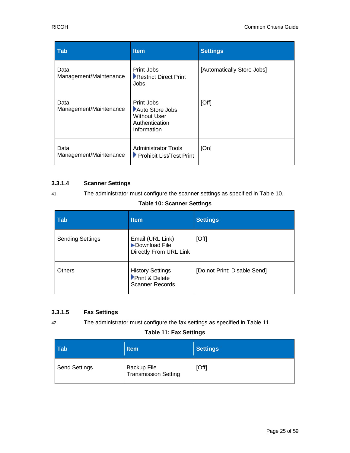| <b>Tab</b>                     | <b>Item</b>                                                                           | <b>Settings</b>            |
|--------------------------------|---------------------------------------------------------------------------------------|----------------------------|
| Data<br>Management/Maintenance | Print Jobs<br>Restrict Direct Print<br>Jobs                                           | [Automatically Store Jobs] |
| Data<br>Management/Maintenance | Print Jobs<br>Auto Store Jobs<br><b>Without User</b><br>Authentication<br>Information | [Off]                      |
| Data<br>Management/Maintenance | <b>Administrator Tools</b><br>▶ Prohibit List/Test Print                              | [On]                       |

#### **3.3.1.4 Scanner Settings**

<span id="page-24-0"></span>

#### 41 The administrator must configure the scanner settings as specified in [Table 10.](#page-24-0)

#### **Table 10: Scanner Settings**

| <b>Tab</b>              | <b>Item</b>                                                         | <b>Settings</b>              |
|-------------------------|---------------------------------------------------------------------|------------------------------|
| <b>Sending Settings</b> | Email (URL Link)<br>Download File<br>Directly From URL Link         | [Off]                        |
| <b>Others</b>           | <b>History Settings</b><br>Print & Delete<br><b>Scanner Records</b> | [Do not Print: Disable Send] |

#### **3.3.1.5 Fax Settings**

42 The administrator must configure the fax settings as specified in [Table 11.](#page-24-1)

#### **Table 11: Fax Settings**

<span id="page-24-1"></span>

| <b>Tab</b>           | <b>Item</b>                         | <b>Settings</b> |
|----------------------|-------------------------------------|-----------------|
| <b>Send Settings</b> | Backup File<br>Transmission Setting | [Off]           |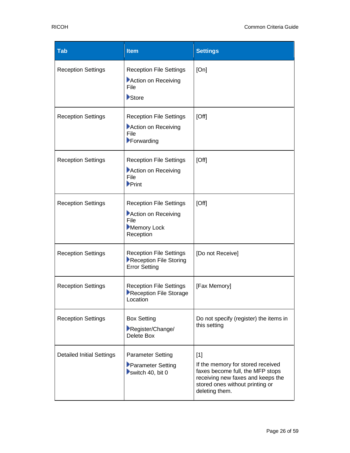| <b>Tab</b>                       | <b>Item</b>                                                                                  | <b>Settings</b>                                                                                                                                                          |
|----------------------------------|----------------------------------------------------------------------------------------------|--------------------------------------------------------------------------------------------------------------------------------------------------------------------------|
| <b>Reception Settings</b>        | <b>Reception File Settings</b><br>Action on Receiving<br>File<br>Store                       | [On]                                                                                                                                                                     |
| <b>Reception Settings</b>        | <b>Reception File Settings</b><br>Action on Receiving<br>File<br>Forwarding                  | [Off]                                                                                                                                                                    |
| <b>Reception Settings</b>        | <b>Reception File Settings</b><br>Action on Receiving<br>File<br>$\blacktriangleright$ Print | [Off]                                                                                                                                                                    |
| <b>Reception Settings</b>        | <b>Reception File Settings</b><br>Action on Receiving<br>File<br>Memory Lock<br>Reception    | [Off]                                                                                                                                                                    |
| <b>Reception Settings</b>        | <b>Reception File Settings</b><br>Reception File Storing<br><b>Error Setting</b>             | [Do not Receive]                                                                                                                                                         |
| <b>Reception Settings</b>        | <b>Reception File Settings</b><br>Reception File Storage<br>Location                         | [Fax Memory]                                                                                                                                                             |
| <b>Reception Settings</b>        | <b>Box Setting</b><br>Register/Change/<br>Delete Box                                         | Do not specify (register) the items in<br>this setting                                                                                                                   |
| <b>Detailed Initial Settings</b> | <b>Parameter Setting</b><br>Parameter Setting<br>switch 40, bit $0$                          | $[1]$<br>If the memory for stored received<br>faxes become full, the MFP stops<br>receiving new faxes and keeps the<br>stored ones without printing or<br>deleting them. |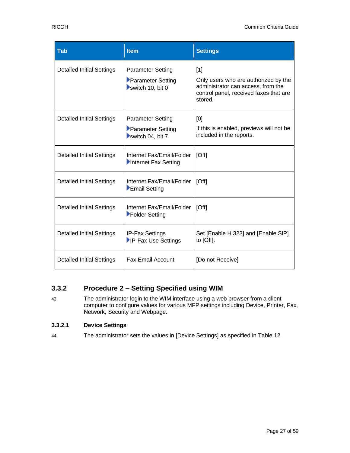| <b>Tab</b>                       | <b>Item</b>                                                       | <b>Settings</b>                                                                                                                        |
|----------------------------------|-------------------------------------------------------------------|----------------------------------------------------------------------------------------------------------------------------------------|
| <b>Detailed Initial Settings</b> | <b>Parameter Setting</b><br>Parameter Setting<br>switch 10, bit 0 | [1]<br>Only users who are authorized by the<br>administrator can access, from the<br>control panel, received faxes that are<br>stored. |
| <b>Detailed Initial Settings</b> | <b>Parameter Setting</b><br>Parameter Setting<br>switch 04, bit 7 | [0]<br>If this is enabled, previews will not be<br>included in the reports.                                                            |
| <b>Detailed Initial Settings</b> | Internet Fax/Email/Folder<br>Internet Fax Setting                 | [Off]                                                                                                                                  |
| <b>Detailed Initial Settings</b> | Internet Fax/Email/Folder<br>Email Setting                        | [Off]                                                                                                                                  |
| <b>Detailed Initial Settings</b> | Internet Fax/Email/Folder<br>Folder Setting                       | [Off]                                                                                                                                  |
| <b>Detailed Initial Settings</b> | <b>IP-Fax Settings</b><br>IP-Fax Use Settings                     | Set [Enable H.323] and [Enable SIP]<br>to [Off].                                                                                       |
| <b>Detailed Initial Settings</b> | <b>Fax Email Account</b>                                          | [Do not Receive]                                                                                                                       |

## **3.3.2 Procedure 2 – Setting Specified using WIM**

43 The administrator login to the WIM interface using a web browser from a client computer to configure values for various MFP settings including Device, Printer, Fax, Network, Security and Webpage.

#### **3.3.2.1 Device Settings**

44 The administrator sets the values in [Device Settings] as specified in Table 12.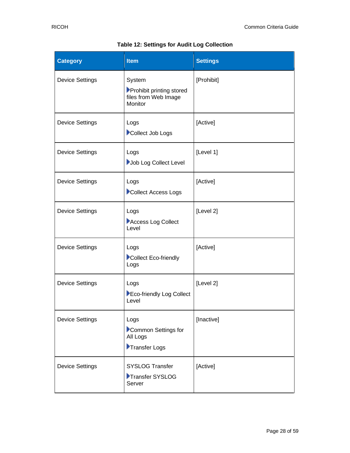<span id="page-27-0"></span>

| <b>Category</b>        | <b>Item</b>                                                           | <b>Settings</b> |
|------------------------|-----------------------------------------------------------------------|-----------------|
| <b>Device Settings</b> | System<br>Prohibit printing stored<br>files from Web Image<br>Monitor | [Prohibit]      |
| <b>Device Settings</b> | Logs<br>Collect Job Logs                                              | [Active]        |
| <b>Device Settings</b> | Logs<br>Job Log Collect Level                                         | [Level 1]       |
| <b>Device Settings</b> | Logs<br>Collect Access Logs                                           | [Active]        |
| <b>Device Settings</b> | Logs<br>Access Log Collect<br>Level                                   | [Level 2]       |
| <b>Device Settings</b> | Logs<br>Collect Eco-friendly<br>Logs                                  | [Active]        |
| <b>Device Settings</b> | Logs<br>Eco-friendly Log Collect<br>Level                             | [Level 2]       |
| <b>Device Settings</b> | Logs<br>Common Settings for<br>All Logs<br>Transfer Logs              | [Inactive]      |
| <b>Device Settings</b> | <b>SYSLOG Transfer</b><br>Transfer SYSLOG<br>Server                   | [Active]        |

### **Table 12: Settings for Audit Log Collection**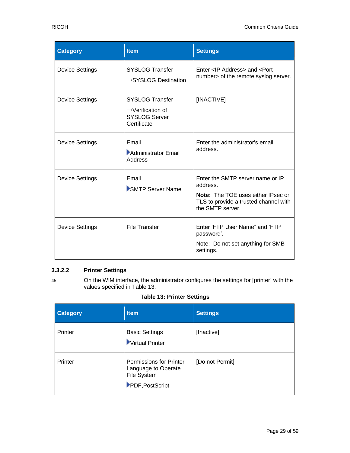| <b>Category</b>        | <b>Item</b>                                                                                    | <b>Settings</b>                                                                                                                                        |
|------------------------|------------------------------------------------------------------------------------------------|--------------------------------------------------------------------------------------------------------------------------------------------------------|
| <b>Device Settings</b> | <b>SYSLOG Transfer</b><br>$\rightarrow$ SYSLOG Destination                                     | Enter <ip address=""> and <port<br>number&gt; of the remote syslog server.</port<br></ip>                                                              |
| <b>Device Settings</b> | <b>SYSLOG Transfer</b><br>$\rightarrow$ Verification of<br><b>SYSLOG Server</b><br>Certificate | [INACTIVE]                                                                                                                                             |
| <b>Device Settings</b> | Email<br>Administrator Email<br><b>Address</b>                                                 | Enter the administrator's email<br>address.                                                                                                            |
| <b>Device Settings</b> | Email<br>SMTP Server Name                                                                      | Enter the SMTP server name or IP<br>address.<br><b>Note:</b> The TOE uses either IPsec or<br>TLS to provide a trusted channel with<br>the SMTP server. |
| <b>Device Settings</b> | <b>File Transfer</b>                                                                           | Enter 'FTP User Name" and 'FTP<br>password'.<br>Note: Do not set anything for SMB<br>settings.                                                         |

#### **3.3.2.2 Printer Settings**

45 On the WIM interface, the administrator configures the settings for [printer] with the values specified in [Table 13.](#page-28-0)

#### **Table 13: Printer Settings**

<span id="page-28-0"></span>

| <b>Category</b> | <b>Item</b>                                                                      | <b>Settings</b> |
|-----------------|----------------------------------------------------------------------------------|-----------------|
| Printer         | <b>Basic Settings</b><br>Virtual Printer                                         | [Inactive]      |
| Printer         | Permissions for Printer<br>Language to Operate<br>File System<br>PDF, PostScript | [Do not Permit] |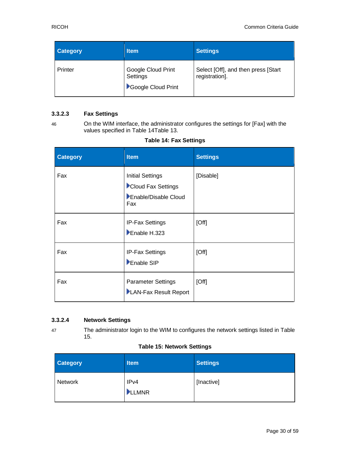| <b>Category</b> | <b>Item</b>                                          | Settings                                              |
|-----------------|------------------------------------------------------|-------------------------------------------------------|
| Printer         | Google Cloud Print<br>Settings<br>Google Cloud Print | Select [Off], and then press [Start<br>registration]. |

#### **3.3.2.3 Fax Settings**

46 On the WIM interface, the administrator configures the settings for [Fax] with the values specified in [Table 14](#page-29-0)[Table 13.](#page-28-0)

#### **Table 14: Fax Settings**

<span id="page-29-0"></span>

| <b>Category</b> | <b>Item</b>                                                                  | <b>Settings</b> |
|-----------------|------------------------------------------------------------------------------|-----------------|
| Fax             | <b>Initial Settings</b><br>Cloud Fax Settings<br>Enable/Disable Cloud<br>Fax | [Disable]       |
| Fax             | IP-Fax Settings<br>Enable H.323                                              | [Off]           |
| Fax             | IP-Fax Settings<br>Enable SIP                                                | [Off]           |
| Fax             | <b>Parameter Settings</b><br>LAN-Fax Result Report                           | [Off]           |

#### **3.3.2.4 Network Settings**

47 The administrator login to the WIM to configures the network settings listed i[n Table](#page-29-1)  [15.](#page-29-1)

#### **Table 15: Network Settings**

<span id="page-29-1"></span>

| <b>Category</b> | <b>Item</b>   | <b>Settings</b> |
|-----------------|---------------|-----------------|
| Network         | IPv4<br>LLMNR | [Inactive]      |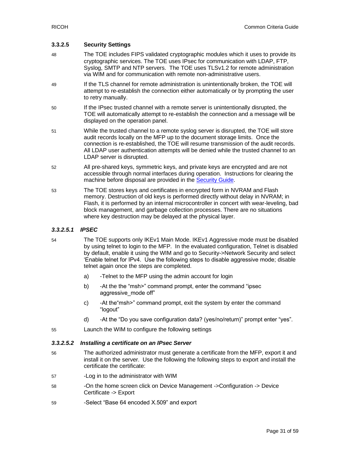#### **3.3.2.5 Security Settings**

- 48 The TOE includes FIPS validated cryptographic modules which it uses to provide its cryptographic services. The TOE uses IPsec for communication with LDAP, FTP, Syslog, SMTP and NTP servers. The TOE uses TLSv1.2 for remote administration via WIM and for communication with remote non-administrative users.
- 49 If the TLS channel for remote administration is unintentionally broken, the TOE will attempt to re-establish the connection either automatically or by prompting the user to retry manually.
- 50 If the IPsec trusted channel with a remote server is unintentionally disrupted, the TOE will automatically attempt to re-establish the connection and a message will be displayed on the operation panel.
- 51 While the trusted channel to a remote syslog server is disrupted, the TOE will store audit records locally on the MFP up to the document storage limits. Once the connection is re-established, the TOE will resume transmission of the audit records. All LDAP user authentication attempts will be denied while the trusted channel to an LDAP server is disrupted.
- 52 All pre-shared keys, symmetric keys, and private keys are encrypted and are not accessible through normal interfaces during operation. Instructions for clearing the machine before disposal are provided in the [Security Guide.](https://support.ricoh.com/services/device/ccmanual/PRO_C5300_C5310/en-GB/security/int/index.htm)
- 53 The TOE stores keys and certificates in encrypted form in NVRAM and Flash memory. Destruction of old keys is performed directly without delay in NVRAM; in Flash, it is performed by an internal microcontroller in concert with wear-leveling, bad block management, and garbage collection processes. There are no situations where key destruction may be delayed at the physical layer.

#### *3.3.2.5.1 IPSEC*

- 54 The TOE supports only IKEv1 Main Mode. IKEv1 Aggressive mode must be disabled by using telnet to login to the MFP. In the evaluated configuration, Telnet is disabled by default, enable it using the WIM and go to Security->Network Security and select 'Enable telnet for IPv4. Use the following steps to disable aggressive mode; disable telnet again once the steps are completed.
	- a) -Telnet to the MFP using the admin account for login
	- b) -At the the "msh>" command prompt, enter the command "ipsec aggressive\_mode off"
	- c) -At the"msh>" command prompt, exit the system by enter the command "logout"
	- d) -At the "Do you save configuration data? (yes/no/return)" prompt enter "yes".
- 55 Launch the WIM to configure the following settings

#### *3.3.2.5.2 Installing a certificate on an IPsec Server*

- 56 The authorized administrator must generate a certificate from the MFP, export it and install it on the server. Use the following the following steps to export and install the certificate the certificate:
- 57 -Log in to the administrator with WIM
- 58 On the home screen click on Device Management ->Configuration -> Device Certificate -> Export
- 59 -Select "Base 64 encoded X.509" and export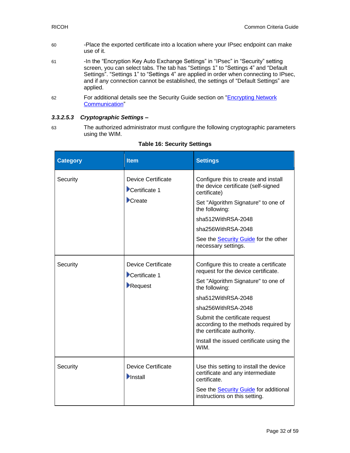- 60 -Place the exported certificate into a location where your IPsec endpoint can make use of it.
- 61 In the "Encryption Key Auto Exchange Settings" in "IPsec" in "Security" setting screen, you can select tabs. The tab has "Settings 1" to "Settings 4" and "Default Settings". "Settings 1" to "Settings 4" are applied in order when connecting to IPsec, and if any connection cannot be established, the settings of "Default Settings" are applied.
- 62 For additional details see the Security Guide section on "Encrypting Network [Communication"](https://support.ricoh.com/services/device/ccmanual/PRO_C5300_C5310/en-GB/security/int/encryption_network.htm)

#### *3.3.2.5.3 Cryptographic Settings –*

63 The authorized administrator must configure the following cryptographic parameters using the WIM.

<span id="page-31-0"></span>

| <b>Category</b> | <b>Item</b>                                                                | <b>Settings</b>                                                                                                                                                                                                                                                                                                                                |
|-----------------|----------------------------------------------------------------------------|------------------------------------------------------------------------------------------------------------------------------------------------------------------------------------------------------------------------------------------------------------------------------------------------------------------------------------------------|
| Security        | <b>Device Certificate</b><br>Certificate 1<br>$\blacktriangleright$ Create | Configure this to create and install<br>the device certificate (self-signed<br>certificate)<br>Set "Algorithm Signature" to one of<br>the following:<br>sha512WithRSA-2048<br>sha256WithRSA-2048<br>See the <b>Security Guide</b> for the other<br>necessary settings.                                                                         |
| Security        | <b>Device Certificate</b><br>Certificate 1<br>Request                      | Configure this to create a certificate<br>request for the device certificate.<br>Set "Algorithm Signature" to one of<br>the following:<br>sha512WithRSA-2048<br>sha256WithRSA-2048<br>Submit the certificate request<br>according to the methods required by<br>the certificate authority.<br>Install the issued certificate using the<br>WIM. |
| Security        | <b>Device Certificate</b><br>$\blacksquare$ Install                        | Use this setting to install the device<br>certificate and any intermediate<br>certificate.<br>See the <b>Security Guide</b> for additional<br>instructions on this setting.                                                                                                                                                                    |

#### **Table 16: Security Settings**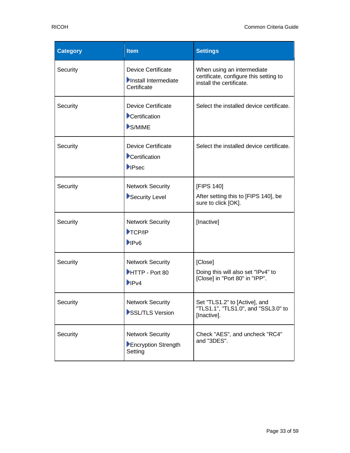| <b>Category</b> | <b>Item</b>                                                        | <b>Settings</b>                                                                                  |
|-----------------|--------------------------------------------------------------------|--------------------------------------------------------------------------------------------------|
| Security        | <b>Device Certificate</b><br>Install Intermediate<br>Certificate   | When using an intermediate<br>certificate, configure this setting to<br>install the certificate. |
| Security        | <b>Device Certificate</b><br>Certification<br>S/MIME               | Select the installed device certificate.                                                         |
| Security        | <b>Device Certificate</b><br>Certification<br>$\blacksquare$ IPsec | Select the installed device certificate.                                                         |
| Security        | <b>Network Security</b><br>Security Level                          | [FIPS 140]<br>After setting this to [FIPS 140], be<br>sure to click [OK].                        |
| Security        | <b>Network Security</b><br>TCP/IP<br><b>IPv6</b>                   | [Inactive]                                                                                       |
| Security        | <b>Network Security</b><br>HTTP - Port 80<br>$\blacksquare$        | [Close]<br>Doing this will also set "IPv4" to<br>[Close] in "Port 80" in "IPP".                  |
| Security        | <b>Network Security</b><br>SSL/TLS Version                         | Set "TLS1.2" to [Active], and<br>"TLS1.1", "TLS1.0", and "SSL3.0" to<br>[Inactive].              |
| Security        | <b>Network Security</b><br>Encryption Strength<br>Setting          | Check "AES", and uncheck "RC4"<br>and "3DES".                                                    |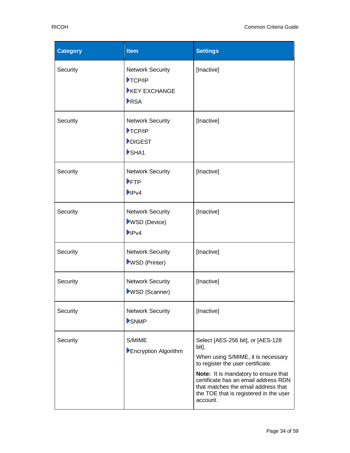| <b>Category</b> | <b>Item</b>                                                                                     | <b>Settings</b>                                                                                                                                                                                                                                                                                    |
|-----------------|-------------------------------------------------------------------------------------------------|----------------------------------------------------------------------------------------------------------------------------------------------------------------------------------------------------------------------------------------------------------------------------------------------------|
| Security        | <b>Network Security</b><br>$\blacktriangleright$ TCP/IP<br><b>EXCHANGE</b><br>RSA               | [Inactive]                                                                                                                                                                                                                                                                                         |
| Security        | <b>Network Security</b><br>$\blacktriangleright$ TCP/IP<br>DIGEST<br>$\blacktriangleright$ SHA1 | [Inactive]                                                                                                                                                                                                                                                                                         |
| Security        | <b>Network Security</b><br>FTP<br>$\blacktriangleright$ IPv4                                    | [Inactive]                                                                                                                                                                                                                                                                                         |
| Security        | <b>Network Security</b><br><b>WSD</b> (Device)<br>$\blacktriangleright$ IPv4                    | [Inactive]                                                                                                                                                                                                                                                                                         |
| Security        | <b>Network Security</b><br>WSD (Printer)                                                        | [Inactive]                                                                                                                                                                                                                                                                                         |
| Security        | <b>Network Security</b><br><b>WSD (Scanner)</b>                                                 | [Inactive]                                                                                                                                                                                                                                                                                         |
| Security        | <b>Network Security</b><br>SNMP                                                                 | [Inactive]                                                                                                                                                                                                                                                                                         |
| Security        | S/MIME<br>Encryption Algorithm                                                                  | Select [AES-256 bit], or [AES-128<br>bit].<br>When using S/MIME, it is necessary<br>to register the user certificate.<br>Note: It is mandatory to ensure that<br>certificate has an email address RDN<br>that matches the email address that<br>the TOE that is registered in the user<br>account. |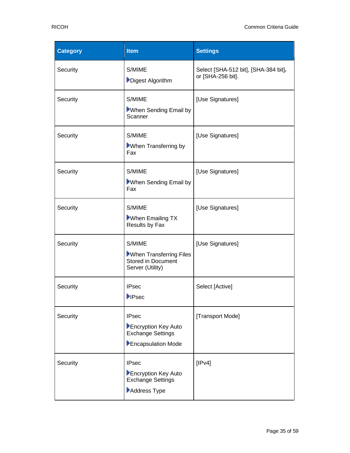| <b>Category</b> | <b>Item</b>                                                                           | <b>Settings</b>                                           |
|-----------------|---------------------------------------------------------------------------------------|-----------------------------------------------------------|
| Security        | S/MIME<br>Digest Algorithm                                                            | Select [SHA-512 bit], [SHA-384 bit],<br>or [SHA-256 bit]. |
| Security        | S/MIME<br>When Sending Email by<br>Scanner                                            | [Use Signatures]                                          |
| Security        | S/MIME<br><b>Nhen Transferring by</b><br>Fax                                          | [Use Signatures]                                          |
| Security        | S/MIME<br>When Sending Email by<br>Fax                                                | [Use Signatures]                                          |
| Security        | S/MIME<br>When Emailing TX<br>Results by Fax                                          | [Use Signatures]                                          |
| Security        | S/MIME<br>When Transferring Files<br><b>Stored in Document</b><br>Server (Utility)    | [Use Signatures]                                          |
| Security        | <b>IPsec</b><br><b>IPsec</b>                                                          | Select [Active]                                           |
| Security        | <b>IPsec</b><br>Encryption Key Auto<br><b>Exchange Settings</b><br>Encapsulation Mode | [Transport Mode]                                          |
| Security        | <b>IPsec</b><br>Encryption Key Auto<br><b>Exchange Settings</b><br>Address Type       | [IPv4]                                                    |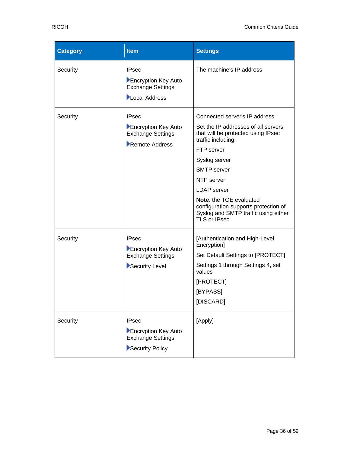| <b>Category</b> | <b>Item</b>                                                                        | <b>Settings</b>                                                                                                                                                                                                                                                                                                                                       |
|-----------------|------------------------------------------------------------------------------------|-------------------------------------------------------------------------------------------------------------------------------------------------------------------------------------------------------------------------------------------------------------------------------------------------------------------------------------------------------|
| Security        | <b>IPsec</b><br>Encryption Key Auto<br><b>Exchange Settings</b><br>Local Address   | The machine's IP address                                                                                                                                                                                                                                                                                                                              |
| Security        | <b>IPsec</b><br>Encryption Key Auto<br><b>Exchange Settings</b><br>Remote Address  | Connected server's IP address<br>Set the IP addresses of all servers<br>that will be protected using IPsec<br>traffic including:<br>FTP server<br>Syslog server<br><b>SMTP</b> server<br>NTP server<br><b>LDAP</b> server<br>Note: the TOE evaluated<br>configuration supports protection of<br>Syslog and SMTP traffic using either<br>TLS or IPsec. |
| Security        | <b>IPsec</b><br>Encryption Key Auto<br><b>Exchange Settings</b><br>Security Level  | [Authentication and High-Level<br>Encryption]<br>Set Default Settings to [PROTECT]<br>Settings 1 through Settings 4, set<br>values<br>[PROTECT]<br>[BYPASS]<br>[DISCARD]                                                                                                                                                                              |
| Security        | <b>IPsec</b><br>Encryption Key Auto<br><b>Exchange Settings</b><br>Security Policy | [Apply]                                                                                                                                                                                                                                                                                                                                               |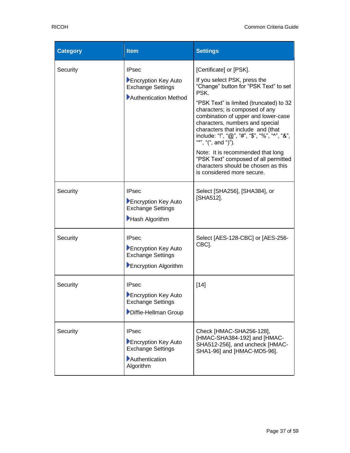| <b>Category</b> | <b>Item</b>                                                                                    | <b>Settings</b>                                                                                                                                                                                                                                                                                                                                                                                                                                                                                                               |
|-----------------|------------------------------------------------------------------------------------------------|-------------------------------------------------------------------------------------------------------------------------------------------------------------------------------------------------------------------------------------------------------------------------------------------------------------------------------------------------------------------------------------------------------------------------------------------------------------------------------------------------------------------------------|
| Security        | <b>IPsec</b><br>Encryption Key Auto<br><b>Exchange Settings</b><br>Authentication Method       | [Certificate] or [PSK].<br>If you select PSK, press the<br>"Change" button for "PSK Text" to set<br>PSK.<br>"PSK Text" is limited (truncated) to 32<br>characters; is composed of any<br>combination of upper and lower-case<br>characters, numbers and special<br>characters that include and (that<br>include: "!", "@", "#", "\$", "%", "^", "&",<br>"*", "(", and ")").<br>Note: It is recommended that long<br>"PSK Text" composed of all permitted<br>characters should be chosen as this<br>is considered more secure. |
| Security        | <b>IPsec</b><br>Encryption Key Auto<br><b>Exchange Settings</b><br>Hash Algorithm              | Select [SHA256], [SHA384], or<br>[SHA512].                                                                                                                                                                                                                                                                                                                                                                                                                                                                                    |
| Security        | <b>IPsec</b><br>Encryption Key Auto<br><b>Exchange Settings</b><br>Encryption Algorithm        | Select [AES-128-CBC] or [AES-256-<br>CBC].                                                                                                                                                                                                                                                                                                                                                                                                                                                                                    |
| Security        | <b>IPsec</b><br>Encryption Key Auto<br><b>Exchange Settings</b><br>Diffie-Hellman Group        | $[14]$                                                                                                                                                                                                                                                                                                                                                                                                                                                                                                                        |
| Security        | <b>IPsec</b><br>Encryption Key Auto<br><b>Exchange Settings</b><br>Authentication<br>Algorithm | Check [HMAC-SHA256-128],<br>[HMAC-SHA384-192] and [HMAC-<br>SHA512-256], and uncheck [HMAC-<br>SHA1-96] and [HMAC-MD5-96].                                                                                                                                                                                                                                                                                                                                                                                                    |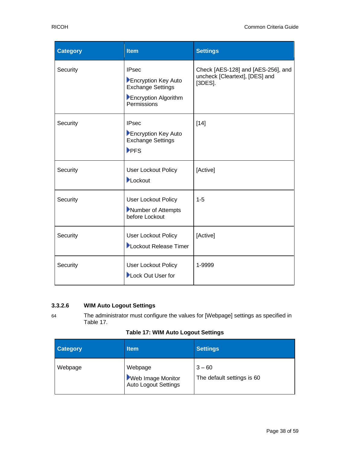| <b>Category</b> | <b>Item</b>                                                                                            | <b>Settings</b>                                                                    |
|-----------------|--------------------------------------------------------------------------------------------------------|------------------------------------------------------------------------------------|
| Security        | <b>IPsec</b><br>Encryption Key Auto<br><b>Exchange Settings</b><br>Encryption Algorithm<br>Permissions | Check [AES-128] and [AES-256], and<br>uncheck [Cleartext], [DES] and<br>$[3DES]$ . |
| Security        | <b>IPsec</b><br>Encryption Key Auto<br><b>Exchange Settings</b><br>PFS                                 | $[14]$                                                                             |
| Security        | User Lockout Policy<br>Lockout                                                                         | [Active]                                                                           |
| Security        | User Lockout Policy<br>Number of Attempts<br>before Lockout                                            | $1 - 5$                                                                            |
| Security        | User Lockout Policy<br>Lockout Release Timer                                                           | [Active]                                                                           |
| Security        | User Lockout Policy<br>Lock Out User for                                                               | 1-9999                                                                             |

#### **3.3.2.6 WIM Auto Logout Settings**

64 The administrator must configure the values for [Webpage] settings as specified in Table 17.

<span id="page-37-0"></span>

| <b>Category</b> | <b>Item</b>                                          | <b>Settings</b>                        |
|-----------------|------------------------------------------------------|----------------------------------------|
| Webpage         | Webpage<br>Web Image Monitor<br>Auto Logout Settings | $3 - 60$<br>The default settings is 60 |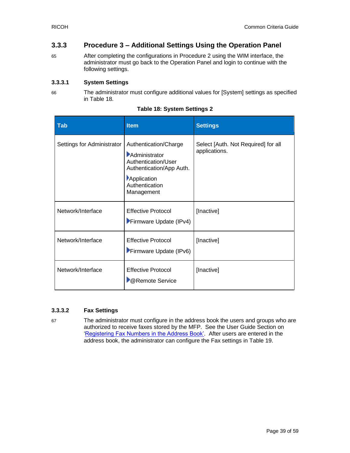#### **3.3.3 Procedure 3 – Additional Settings Using the Operation Panel**

65 After completing the configurations in Procedure 2 using the WIM interface, the administrator must go back to the Operation Panel and login to continue with the following settings.

#### **3.3.3.1 System Settings**

66 The administrator must configure additional values for [System] settings as specified in [Table 18.](#page-38-0)

<span id="page-38-0"></span>

| <b>Tab</b>                 | <b>Item</b>                                                                                                                              | <b>Settings</b>                                      |
|----------------------------|------------------------------------------------------------------------------------------------------------------------------------------|------------------------------------------------------|
| Settings for Administrator | Authentication/Charge<br>Administrator<br>Authentication/User<br>Authentication/App Auth.<br>Application<br>Authentication<br>Management | Select [Auth. Not Required] for all<br>applications. |
| Network/Interface          | <b>Effective Protocol</b><br>Firmware Update (IPv4)                                                                                      | [Inactive]                                           |
| Network/Interface          | <b>Effective Protocol</b><br>Firmware Update (IPv6)                                                                                      | [Inactive]                                           |
| Network/Interface          | <b>Effective Protocol</b><br><b>Remote Service</b>                                                                                       | [Inactive]                                           |

| <b>Table 18: System Settings 2</b> |  |  |  |  |  |
|------------------------------------|--|--|--|--|--|
|------------------------------------|--|--|--|--|--|

#### **3.3.3.2 Fax Settings**

67 The administrator must configure in the address book the users and groups who are authorized to receive faxes stored by the MFP. See the User Guide Section on ['Registering Fax Numbers in the Address Book'.](https://support.ricoh.com/services/device/ccmanual/PRO_C5300_C5310/en-GB/setup/int/faxnumber.htm) After users are entered in the address book, the administrator can configure the Fax settings in [Table 19](#page-39-1).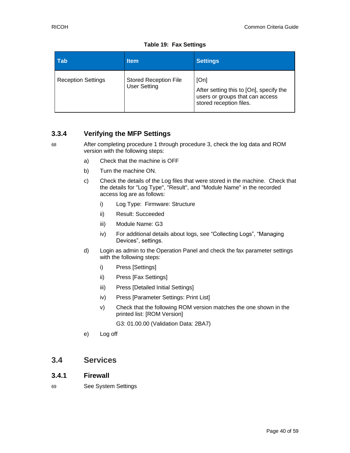<span id="page-39-1"></span>

| Tab                       | <b>Item</b>                                         | <b>Settings</b>                                                                                               |
|---------------------------|-----------------------------------------------------|---------------------------------------------------------------------------------------------------------------|
| <b>Reception Settings</b> | <b>Stored Reception File</b><br><b>User Setting</b> | [On]<br>After setting this to [On], specify the<br>users or groups that can access<br>stored reception files. |

**Table 19: Fax Settings**

### **3.3.4 Verifying the MFP Settings**

68 After completing procedure 1 through procedure 3, check the log data and ROM version with the following steps:

- a) Check that the machine is OFF
- b) Turn the machine ON.
- c) Check the details of the Log files that were stored in the machine. Check that the details for "Log Type", "Result", and "Module Name" in the recorded access log are as follows:
	- i) Log Type: Firmware: Structure
	- ii) Result: Succeeded
	- iii) Module Name: G3
	- iv) For additional details about logs, see "Collecting Logs", "Managing Devices", settings.
- d) Login as admin to the Operation Panel and check the fax parameter settings with the following steps:
	- i) Press [Settings]
	- ii) Press [Fax Settings]
	- iii) Press [Detailed Initial Settings]
	- iv) Press [Parameter Settings: Print List]
	- v) Check that the following ROM version matches the one shown in the printed list: [ROM Version]

G3: 01.00.00 (Validation Data: 2BA7)

e) Log off

# <span id="page-39-0"></span>**3.4 Services**

#### **3.4.1 Firewall**

69 See System Settings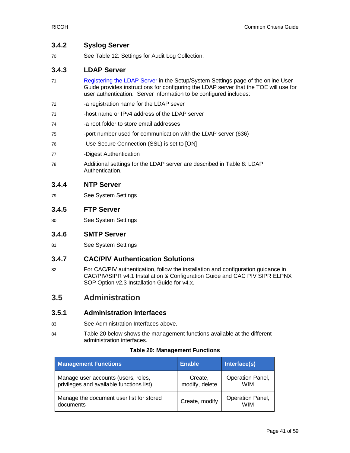#### **3.4.2 Syslog Server**

70 See Table 12: [Settings for Audit Log](#page-27-0) Collection.

#### **3.4.3 LDAP Server**

- 71 [Registering the LDAP Server](https://support.ricoh.com/services/device/ccmanual/PRO_C5300_C5310/en-GB/setup/int/ldap.htm) in the Setup/System Settings page of the online User Guide provides instructions for configuring the LDAP server that the TOE will use for user authentication. Server information to be configured includes:
- 72 -a registration name for the LDAP sever
- 73 -host name or IPv4 address of the LDAP server
- 74 -a root folder to store email addresses
- 75 -port number used for communication with the LDAP server (636)
- 76 -Use Secure Connection (SSL) is set to [ON]
- 77 -Digest Authentication
- 78 Additional settings for the LDAP server are described in [Table 8: LDAP](#page-22-0)  [Authentication.](#page-22-0)

#### **3.4.4 NTP Server**

79 See System Settings

#### **3.4.5 FTP Server**

80 See System Settings

#### **3.4.6 SMTP Server**

81 See System Settings

#### **3.4.7 CAC/PIV Authentication Solutions**

82 For CAC/PIV authentication, follow the installation and configuration guidance in CAC/PIV/SIPR v4.1 Installation & Configuration Guide and CAC PIV SIPR ELPNX SOP Option v2.3 Installation Guide for v4.x.

# <span id="page-40-0"></span>**3.5 Administration**

#### **3.5.1 Administration Interfaces**

- 83 See Administration Interfaces above.
- 84 Table 20 below shows the management functions available at the different administration interfaces.

#### **Table 20: Management Functions**

<span id="page-40-1"></span>

| <b>Management Functions</b>                                                     | <b>Enable</b>             | Interface(s)                   |
|---------------------------------------------------------------------------------|---------------------------|--------------------------------|
| Manage user accounts (users, roles,<br>privileges and available functions list) | Create,<br>modify, delete | Operation Panel,<br><b>WIM</b> |
| Manage the document user list for stored<br>documents                           | Create, modify            | Operation Panel,<br>WIM        |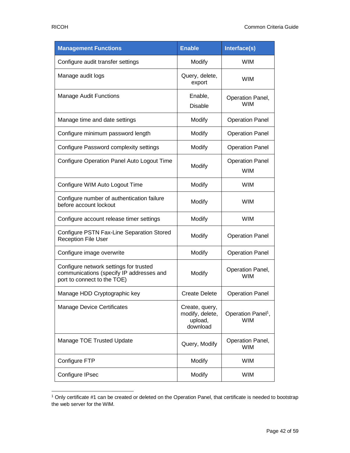| <b>Management Functions</b>                                                                                       | <b>Enable</b>                                            | Interface(s)                                 |
|-------------------------------------------------------------------------------------------------------------------|----------------------------------------------------------|----------------------------------------------|
| Configure audit transfer settings                                                                                 | Modify                                                   | <b>WIM</b>                                   |
| Manage audit logs                                                                                                 | Query, delete,<br>export                                 | <b>WIM</b>                                   |
| <b>Manage Audit Functions</b>                                                                                     | Enable,<br><b>Disable</b>                                | Operation Panel,<br><b>WIM</b>               |
| Manage time and date settings                                                                                     | Modify                                                   | <b>Operation Panel</b>                       |
| Configure minimum password length                                                                                 | Modify                                                   | <b>Operation Panel</b>                       |
| Configure Password complexity settings                                                                            | Modify                                                   | <b>Operation Panel</b>                       |
| Configure Operation Panel Auto Logout Time                                                                        | Modify                                                   | <b>Operation Panel</b><br><b>WIM</b>         |
| Configure WIM Auto Logout Time                                                                                    | Modify                                                   | <b>WIM</b>                                   |
| Configure number of authentication failure<br>before account lockout                                              | Modify                                                   | <b>WIM</b>                                   |
| Configure account release timer settings                                                                          | Modify                                                   | <b>WIM</b>                                   |
| Configure PSTN Fax-Line Separation Stored<br>Reception File User                                                  | Modify                                                   | <b>Operation Panel</b>                       |
| Configure image overwrite                                                                                         | Modify                                                   | <b>Operation Panel</b>                       |
| Configure network settings for trusted<br>communications (specify IP addresses and<br>port to connect to the TOE) | Modify                                                   | Operation Panel,<br><b>WIM</b>               |
| Manage HDD Cryptographic key                                                                                      | <b>Create Delete</b>                                     | <b>Operation Panel</b>                       |
| <b>Manage Device Certificates</b>                                                                                 | Create, query,<br>modify, delete,<br>upload,<br>download | Operation Panel <sup>1</sup> ,<br><b>WIM</b> |
| Manage TOE Trusted Update                                                                                         | Query, Modify                                            | Operation Panel,<br><b>WIM</b>               |
| Configure FTP                                                                                                     | Modify                                                   | <b>WIM</b>                                   |
| Configure IPsec                                                                                                   | Modify                                                   | <b>WIM</b>                                   |

<sup>1</sup> Only certificate #1 can be created or deleted on the Operation Panel, that certificate is needed to bootstrap the web server for the WIM.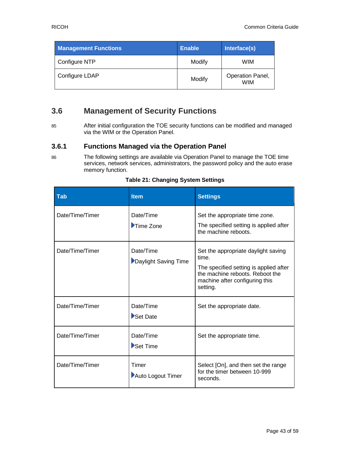| <b>Management Functions</b> | <b>Enable</b> | Interface(s)                   |
|-----------------------------|---------------|--------------------------------|
| Configure NTP               | Modify        | WIM                            |
| Configure LDAP              | Modify        | Operation Panel,<br><b>WIM</b> |

# <span id="page-42-0"></span>**3.6 Management of Security Functions**

85 After initial configuration the TOE security functions can be modified and managed via the WIM or the Operation Panel.

#### **3.6.1 Functions Managed via the Operation Panel**

86 The following settings are available via Operation Panel to manage the TOE time services, network services, administrators, the password policy and the auto erase memory function.

<span id="page-42-1"></span>

| <b>Tab</b>      | <b>Item</b>                                  | <b>Settings</b>                                                                                                                                                         |
|-----------------|----------------------------------------------|-------------------------------------------------------------------------------------------------------------------------------------------------------------------------|
| Date/Time/Timer | Date/Time<br>$\blacktriangleright$ Time Zone | Set the appropriate time zone.<br>The specified setting is applied after<br>the machine reboots.                                                                        |
| Date/Time/Timer | Date/Time<br>Daylight Saving Time            | Set the appropriate daylight saving<br>time.<br>The specified setting is applied after<br>the machine reboots. Reboot the<br>machine after configuring this<br>setting. |
| Date/Time/Timer | Date/Time<br>Set Date                        | Set the appropriate date.                                                                                                                                               |
| Date/Time/Timer | Date/Time<br>Set Time                        | Set the appropriate time.                                                                                                                                               |
| Date/Time/Timer | Timer<br>Auto Logout Timer                   | Select [On], and then set the range<br>for the timer between 10-999<br>seconds.                                                                                         |

#### **Table 21: Changing System Settings**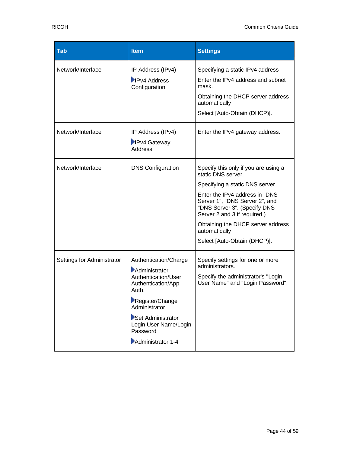| <b>Tab</b>                 | <b>Item</b>                                                                                                                                                                                                     | <b>Settings</b>                                                                                                                                                                                                                                                                                                        |
|----------------------------|-----------------------------------------------------------------------------------------------------------------------------------------------------------------------------------------------------------------|------------------------------------------------------------------------------------------------------------------------------------------------------------------------------------------------------------------------------------------------------------------------------------------------------------------------|
| Network/Interface          | IP Address (IPv4)<br><b>IPv4 Address</b><br>Configuration                                                                                                                                                       | Specifying a static IPv4 address<br>Enter the IPv4 address and subnet<br>mask.<br>Obtaining the DHCP server address<br>automatically<br>Select [Auto-Obtain (DHCP)].                                                                                                                                                   |
| Network/Interface          | IP Address (IPv4)<br><b>IPv4 Gateway</b><br>Address                                                                                                                                                             | Enter the IPv4 gateway address.                                                                                                                                                                                                                                                                                        |
| Network/Interface          | <b>DNS Configuration</b>                                                                                                                                                                                        | Specify this only if you are using a<br>static DNS server.<br>Specifying a static DNS server<br>Enter the IPv4 address in "DNS<br>Server 1", "DNS Server 2", and<br>"DNS Server 3". (Specify DNS<br>Server 2 and 3 if required.)<br>Obtaining the DHCP server address<br>automatically<br>Select [Auto-Obtain (DHCP)]. |
| Settings for Administrator | Authentication/Charge<br>Administrator<br>Authentication/User<br>Authentication/App<br>Auth.<br>Register/Change<br>Administrator<br>Set Administrator<br>Login User Name/Login<br>Password<br>Administrator 1-4 | Specify settings for one or more<br>administrators.<br>Specify the administrator's "Login<br>User Name" and "Login Password".                                                                                                                                                                                          |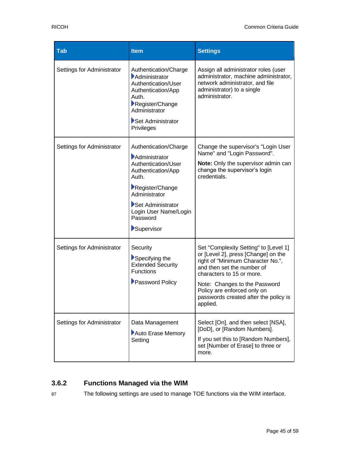| <b>Tab</b>                 | <b>Item</b>                                                                                                                                                                                              | <b>Settings</b>                                                                                                                                                                                                                                                                                   |
|----------------------------|----------------------------------------------------------------------------------------------------------------------------------------------------------------------------------------------------------|---------------------------------------------------------------------------------------------------------------------------------------------------------------------------------------------------------------------------------------------------------------------------------------------------|
| Settings for Administrator | Authentication/Charge<br>Administrator<br>Authentication/User<br>Authentication/App<br>Auth.<br>Register/Change<br>Administrator<br>Set Administrator<br>Privileges                                      | Assign all administrator roles (user<br>administrator, machine administrator,<br>network administrator, and file<br>administrator) to a single<br>administrator.                                                                                                                                  |
| Settings for Administrator | Authentication/Charge<br>Administrator<br>Authentication/User<br>Authentication/App<br>Auth.<br>Register/Change<br>Administrator<br>Set Administrator<br>Login User Name/Login<br>Password<br>Supervisor | Change the supervisor's "Login User<br>Name" and "Login Password".<br>Note: Only the supervisor admin can<br>change the supervisor's login<br>credentials.                                                                                                                                        |
| Settings for Administrator | Security<br>Specifying the<br><b>Extended Security</b><br><b>Functions</b><br>Password Policy                                                                                                            | Set "Complexity Setting" to [Level 1]<br>or [Level 2], press [Change] on the<br>right of "Minimum Character No.",<br>and then set the number of<br>characters to 15 or more.<br>Note: Changes to the Password<br>Policy are enforced only on<br>passwords created after the policy is<br>applied. |
| Settings for Administrator | Data Management<br>Auto Erase Memory<br>Setting                                                                                                                                                          | Select [On], and then select [NSA],<br>[DoD], or [Random Numbers].<br>If you set this to [Random Numbers],<br>set [Number of Erase] to three or<br>more.                                                                                                                                          |

# **3.6.2 Functions Managed via the WIM**

87 The following settings are used to manage TOE functions via the WIM interface.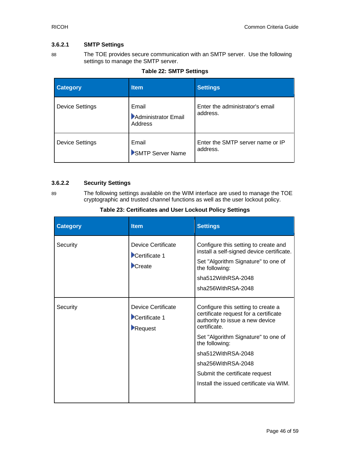#### **3.6.2.1 SMTP Settings**

88 The TOE provides secure communication with an SMTP server. Use the following settings to manage the SMTP server.

<span id="page-45-0"></span>

| <b>Category</b>        | <b>Item</b>                             | <b>Settings</b>                              |
|------------------------|-----------------------------------------|----------------------------------------------|
| <b>Device Settings</b> | Email<br>Administrator Email<br>Address | Enter the administrator's email<br>address.  |
| <b>Device Settings</b> | Email<br>SMTP Server Name               | Enter the SMTP server name or IP<br>address. |

#### **Table 22: SMTP Settings**

#### **3.6.2.2 Security Settings**

89 The following settings available on the WIM interface are used to manage the TOE cryptographic and trusted channel functions as well as the user lockout policy.

#### **Table 23: Certificates and User Lockout Policy Settings**

<span id="page-45-1"></span>

| Device Certificate                             |                                                                                                                                                                                                                                                                                                                  |
|------------------------------------------------|------------------------------------------------------------------------------------------------------------------------------------------------------------------------------------------------------------------------------------------------------------------------------------------------------------------|
| Certificate 1<br>Create                        | Configure this setting to create and<br>install a self-signed device certificate.<br>Set "Algorithm Signature" to one of<br>the following:<br>sha512WithRSA-2048<br>sha256WithRSA-2048                                                                                                                           |
| Device Certificate<br>Certificate 1<br>Request | Configure this setting to create a<br>certificate request for a certificate<br>authority to issue a new device<br>certificate.<br>Set "Algorithm Signature" to one of<br>the following:<br>sha512WithRSA-2048<br>sha256WithRSA-2048<br>Submit the certificate request<br>Install the issued certificate via WIM. |
|                                                |                                                                                                                                                                                                                                                                                                                  |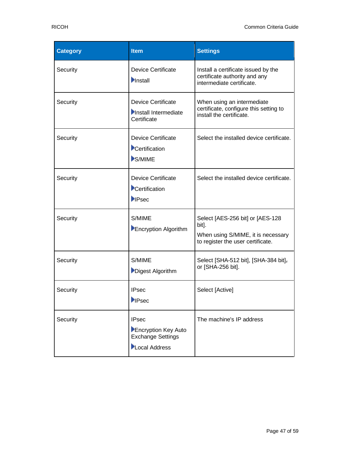| <b>Category</b> | <b>Item</b>                                                                      | <b>Settings</b>                                                                                                      |
|-----------------|----------------------------------------------------------------------------------|----------------------------------------------------------------------------------------------------------------------|
| Security        | <b>Device Certificate</b><br>Install                                             | Install a certificate issued by the<br>certificate authority and any<br>intermediate certificate.                    |
| Security        | <b>Device Certificate</b><br>Install Intermediate<br>Certificate                 | When using an intermediate<br>certificate, configure this setting to<br>install the certificate.                     |
| Security        | <b>Device Certificate</b><br>Certification<br>S/MIME                             | Select the installed device certificate.                                                                             |
| Security        | <b>Device Certificate</b><br>Certification<br><b>IPsec</b>                       | Select the installed device certificate.                                                                             |
| Security        | S/MIME<br>Encryption Algorithm                                                   | Select [AES-256 bit] or [AES-128<br>bit].<br>When using S/MIME, it is necessary<br>to register the user certificate. |
| Security        | S/MIME<br>Digest Algorithm                                                       | Select [SHA-512 bit], [SHA-384 bit],<br>or [SHA-256 bit].                                                            |
| Security        | <b>IPsec</b><br><b>IPsec</b>                                                     | Select [Active]                                                                                                      |
| Security        | <b>IPsec</b><br>Encryption Key Auto<br><b>Exchange Settings</b><br>Local Address | The machine's IP address                                                                                             |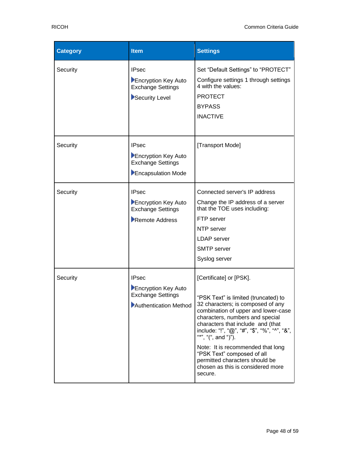| <b>Category</b> | <b>Item</b>                                                                              | <b>Settings</b>                                                                                                                                                                                                                                                                                                                                                                                                                                 |
|-----------------|------------------------------------------------------------------------------------------|-------------------------------------------------------------------------------------------------------------------------------------------------------------------------------------------------------------------------------------------------------------------------------------------------------------------------------------------------------------------------------------------------------------------------------------------------|
| Security        | <b>IPsec</b><br>Encryption Key Auto<br><b>Exchange Settings</b><br>Security Level        | Set "Default Settings" to "PROTECT"<br>Configure settings 1 through settings<br>4 with the values:<br><b>PROTECT</b><br><b>BYPASS</b><br><b>INACTIVE</b>                                                                                                                                                                                                                                                                                        |
| Security        | <b>IPsec</b><br>Encryption Key Auto<br><b>Exchange Settings</b><br>Encapsulation Mode    | [Transport Mode]                                                                                                                                                                                                                                                                                                                                                                                                                                |
| Security        | <b>IPsec</b><br>Encryption Key Auto<br><b>Exchange Settings</b><br>Remote Address        | Connected server's IP address<br>Change the IP address of a server<br>that the TOE uses including:<br>FTP server<br>NTP server<br><b>LDAP</b> server<br><b>SMTP</b> server<br>Syslog server                                                                                                                                                                                                                                                     |
| Security        | <b>IPsec</b><br>Encryption Key Auto<br><b>Exchange Settings</b><br>Authentication Method | [Certificate] or [PSK].<br>'PSK Text" is limited (truncated) to<br>32 characters; is composed of any<br>combination of upper and lower-case<br>characters, numbers and special<br>characters that include and (that<br>include: "!", "@", "#", "\$", "%", "^", "&",<br>"*", "(", and ")").<br>Note: It is recommended that long<br>"PSK Text" composed of all<br>permitted characters should be<br>chosen as this is considered more<br>secure. |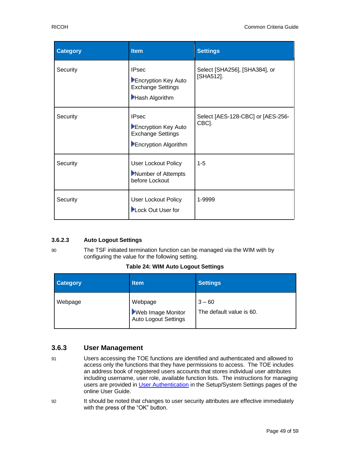| <b>Category</b> | <b>Item</b>                                                                             | <b>Settings</b>                            |
|-----------------|-----------------------------------------------------------------------------------------|--------------------------------------------|
| Security        | <b>IPsec</b><br>Encryption Key Auto<br><b>Exchange Settings</b><br>Hash Algorithm       | Select [SHA256], [SHA384], or<br>[SHA512]. |
| Security        | <b>IPsec</b><br>Encryption Key Auto<br><b>Exchange Settings</b><br>Encryption Algorithm | Select [AES-128-CBC] or [AES-256-<br>CBC]. |
| Security        | User Lockout Policy<br>Number of Attempts<br>before Lockout                             | $1 - 5$                                    |
| Security        | <b>User Lockout Policy</b><br>Lock Out User for                                         | 1-9999                                     |

#### **3.6.2.3 Auto Logout Settings**

90 The TSF initiated termination function can be managed via the WIM with by configuring the value for the following setting.

**Table 24: WIM Auto Logout Settings**

<span id="page-48-0"></span>

| <b>Category</b> | <b>Item</b>                                                        | <b>Settings</b>                      |
|-----------------|--------------------------------------------------------------------|--------------------------------------|
| Webpage         | Webpage<br><b>Neb Image Monitor</b><br><b>Auto Logout Settings</b> | $3 - 60$<br>The default value is 60. |

#### **3.6.3 User Management**

- 91 Users accessing the TOE functions are identified and authenticated and allowed to access only the functions that they have permissions to access. The TOE includes an address book of registered users accounts that stores individual user attributes including username, user role, available function lists. The instructions for managing users are provided in [User Authentication](https://support.ricoh.com/services/device/ccmanual/PRO_C5300_C5310/en-GB/setup/int/index.htm) in the Setup/System Settings pages of the online User Guide.
- 92 It should be noted that changes to user security attributes are effective immediately with the press of the "OK" button.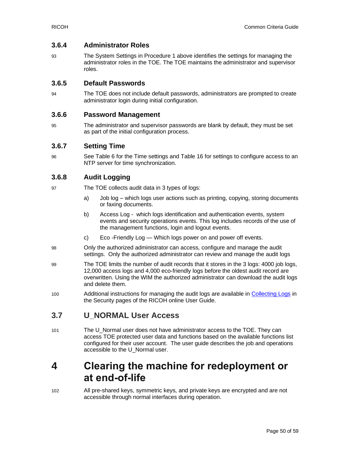#### **3.6.4 Administrator Roles**

93 The System Settings in Procedure 1 above identifies the settings for managing the administrator roles in the TOE. The TOE maintains the administrator and supervisor roles.

#### **3.6.5 Default Passwords**

94 The TOE does not include default passwords, administrators are prompted to create administrator login during initial configuration.

#### **3.6.6 Password Management**

95 The administrator and supervisor passwords are blank by default, they must be set as part of the initial configuration process.

#### **3.6.7 Setting Time**

96 See [Table 6](#page-12-0) for the Time settings and [Table 16](#page-31-0) for settings to configure access to an NTP server for time synchronization.

#### **3.6.8 Audit Logging**

- 97 The TOE collects audit data in 3 types of logs:
	- a) Job log which logs user actions such as printing, copying, storing documents or faxing documents.
	- b) Access Log which logs identification and authentication events, system events and security operations events. This log includes records of the use of the management functions, login and logout events.
	- c) Eco -Friendly Log Which logs power on and power off events.
- 98 Only the authorized administrator can access, configure and manage the audit settings. Only the authorized administrator can review and manage the audit logs
- 99 The TOE limits the number of audit records that it stores in the 3 logs: 4000 job logs, 12,000 access logs and 4,000 eco-friendly logs before the oldest audit record are overwritten. Using the WIM the authorized administrator can download the audit logs and delete them.
- 100 Additional instructions for managing the audit logs are available in [Collecting Logs](https://support.ricoh.com/services/device/ccmanual/PRO_C5300_C5310/en-GB/security/int/loglist.htm) in the Security pages of the RICOH online User Guide.

# <span id="page-49-0"></span>**3.7 U\_NORMAL User Access**

101 The U\_Normal user does not have administrator access to the TOE. They can access TOE protected user data and functions based on the available functions list configured for their user account. The user guide describes the job and operations accessible to the U\_Normal user.

# <span id="page-49-1"></span>**4 Clearing the machine for redeployment or at end-of-life**

102 All pre-shared keys, symmetric keys, and private keys are encrypted and are not accessible through normal interfaces during operation.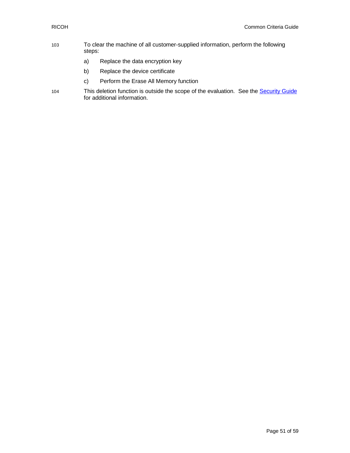- 103 To clear the machine of all customer-supplied information, perform the following steps:
	- a) Replace the data encryption key
	- b) Replace the device certificate
	- c) Perform the Erase All Memory function
- 104 This deletion function is outside the scope of the evaluation. See the **Security Guide** for additional information.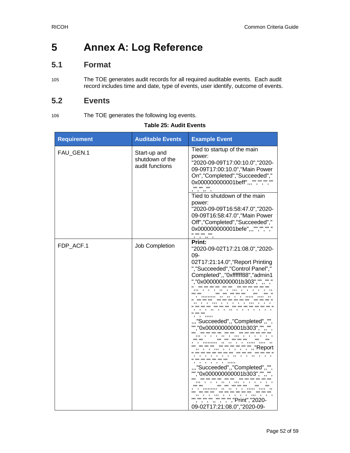# **5 Annex A: Log Reference**

# **5.1 Format**

105 The TOE generates audit records for all required auditable events. Each audit record includes time and date, type of events, user identify, outcome of events.

# **5.2 Events**

106 The TOE generates the following log events.

<span id="page-51-0"></span>

| <b>Requirement</b> | <b>Auditable Events</b>                            | <b>Example Event</b>                                                                                                                                                                                                                                                                                                                                                                                                                                                                                                                                                        |
|--------------------|----------------------------------------------------|-----------------------------------------------------------------------------------------------------------------------------------------------------------------------------------------------------------------------------------------------------------------------------------------------------------------------------------------------------------------------------------------------------------------------------------------------------------------------------------------------------------------------------------------------------------------------------|
| FAU_GEN.1          | Start-up and<br>shutdown of the<br>audit functions | Tied to startup of the main<br>power:<br>"2020-09-09T17:00:10.0", "2020-<br>09-09T17:00:10.0", "Main Power<br>On","Completed","Succeeded","<br>0x000000000001beff",,,"","","","",""<br><b>00.00.00</b>                                                                                                                                                                                                                                                                                                                                                                      |
|                    |                                                    | Tied to shutdown of the main<br>power:<br>"2020-09-09T16:58:47.0", "2020-<br>09-09T16:58:47.0", "Main Power<br>Off","Completed","Succeeded","<br>0x000000000001befe",,,"","","","","<br>.                                                                                                                                                                                                                                                                                                                                                                                   |
| FDP_ACF.1          | Job Completion                                     | Print:<br>"2020-09-02T17:21:08.0","2020-<br>09-<br>02T17:21:14.0", "Report Printing<br>", "Succeeded", "Control Panel","<br>Completed",,"0xffffff88","admin1<br>","0x000000000001b303","",,"","<br>.<br>,, , , ,,, , , , , , ,,, ,<br><br>, , ,,,,,<br>",,"Succeeded",,"Completed",,""<br>"","0x000000000001b303","",,<br><br>, ,, , ,,, ,<br>"", "", "", "", ", ", ", ", ", "Report<br>.<br>, , , , , ,<br>"Succeeded",,"Completed",<br>"","0x000000000001b303","",<br>$\cdots$<br>,, ,, ,, , ,,,,, ,,,,<br><br>""""""""""","print","2020-<br>09-02T17:21:08.0", "2020-09- |

#### **Table 25: Audit Events**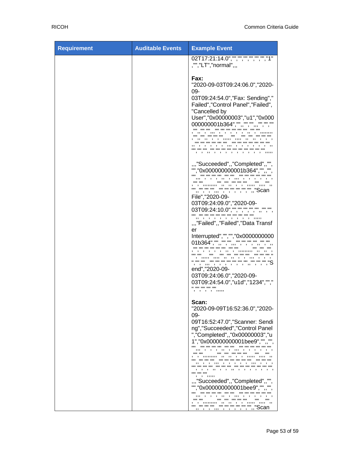| <b>Requirement</b> | <b>Auditable Events</b> | <b>Example Event</b>                                                                                                                                                                                                                                                                                                                                                                                                                                                                                                                      |
|--------------------|-------------------------|-------------------------------------------------------------------------------------------------------------------------------------------------------------------------------------------------------------------------------------------------------------------------------------------------------------------------------------------------------------------------------------------------------------------------------------------------------------------------------------------------------------------------------------------|
|                    |                         | 02T17:21:14.0","","","","","","","","1"<br>,"","LT","normal",,,                                                                                                                                                                                                                                                                                                                                                                                                                                                                           |
|                    |                         | Fax:<br>"2020-09-03T09:24:06.0","2020-<br>09-<br>03T09:24:54.0", "Fax: Sending","<br>Failed", "Control Panel", "Failed",<br>"Cancelled by<br>User","0x00000003","u1","0x000<br>000000001b364","",,"","",,"","","",""<br>$\cdots$<br><br>$\cdots$<br>,,,,,,,,,,,,,,,,<br>, , , , ,                                                                                                                                                                                                                                                         |
|                    |                         | ",,"Succeeded",,"Completed",,"",<br>"","0x000000000001b364","",,"",<br>, ,, , ,,, , , ,<br>"", ", ", ", ", ", ", ", ", "Scan<br>File", "2020-09-<br>03T09:24:09.0", "2020-09-<br>03T09:24:10.0", "", "", "", "", "", "", "", "",<br>",,"Failed",,"Failed","Data Transf<br>er<br>Interrupted","","","0x0000000000<br>01b364","",,"","",,,"","","",""<br>, ,<br>,, , ,,,,,,,,,<br>.<br>, , ,,,,, ,,, ,, ,, , ,<br>, , , , , , , ,<br>end", "2020-09-<br>03T09:24:06.0", "2020-09-<br>03T09:24:54.0","u1d","1234","","<br>.<br>, , , , ,,,,, |
|                    |                         | Scan:<br>"2020-09-09T16:52:36.0", "2020-<br>09-<br>09T16:52:47.0", "Scanner: Sendi<br>ng", "Succeeded", "Control Panel<br>", "Completed", , "0x00000003", "u<br>1","0x000000000001bee9","",,""<br>.<br><br>, ,, , ,,, ,<br><br><b>HH</b><br>. .<br>, ,,, , , , , ,,, ,<br>$\cdots$<br>, ,, ,<br>$\overline{\phantom{a}}$<br>$\overline{\phantom{a}}$<br><br>, , , , , , ,<br>",,"Succeeded",,"Completed",,"",<br>"","0x000000000001bee9","",,"",<br><b>HH</b><br>, ,, , ,,, , ,<br>1111<br><br>,,, , , , , ,                              |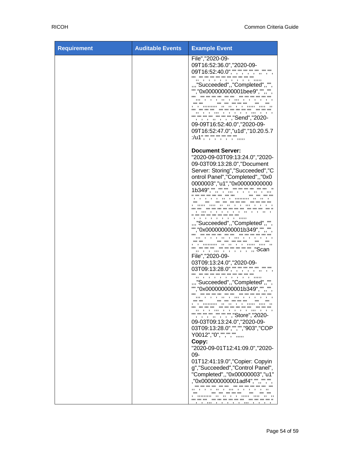| <b>Requirement</b> | <b>Auditable Events</b> | <b>Example Event</b>                                                                                                                                                                                                                                                                                                                                                                                                                                                                                                                                                                                                                                                                                                                                                                                           |
|--------------------|-------------------------|----------------------------------------------------------------------------------------------------------------------------------------------------------------------------------------------------------------------------------------------------------------------------------------------------------------------------------------------------------------------------------------------------------------------------------------------------------------------------------------------------------------------------------------------------------------------------------------------------------------------------------------------------------------------------------------------------------------------------------------------------------------------------------------------------------------|
|                    |                         | File", "2020-09-<br>09T16:52:36.0","2020-09-<br>09T16:52:40.0","","","","","","","","",<br>$, \, \,$<br>$\mathbf{1}$ $\mathbf{1}$ $\mathbf{1}$ $\mathbf{1}$ $\mathbf{1}$ $\mathbf{1}$<br>",,"Succeeded",,"Completed",,"",<br>"","0x000000000001bee9","",,"",<br>09-09T16:52:40.0", "2020-09-<br>09T16:52:47.0","u1d","10.20.5.7<br>:/u1", "", "", "", "", "",                                                                                                                                                                                                                                                                                                                                                                                                                                                  |
|                    |                         | <b>Document Server:</b><br>"2020-09-03T09:13:24.0", "2020-<br>09-03T09:13:28.0", "Document<br>Server: Storing", "Succeeded", "C<br>ontrol Panel", "Completed", , "0x0<br>0000003", "u1", "0x00000000000<br>1b349", "", "", "", "", "", "", "",<br>.<br>, ,,, , , , , , ,, , , ,, ,<br>.<br>, , , , , , , , , ,,,,,<br>",,"Succeeded",,"Completed",,""<br>"","0x000000000001b349","",,"",<br>.<br>.<br>,,,,,,,,,,,,<br>File", "2020-09-<br>03T09:13:24.0", "2020-09-<br>03T09:13:28.0","","","","","","","","",<br>",,"Succeeded",,"Completed",,"",<br>"","0x000000000001b349","",,"",<br><br>11 II<br><b>HH</b><br><br>"", "", "", "", "", "", "", "Store", "2020-<br>09-03T09:13:24.0", "2020-09-<br>03T09:13:28.0","","","903","COP<br>Y0012","0","","","",",,,,,<br>Copy:<br>"2020-09-01T12:41:09.0","2020- |
|                    |                         | 09-<br>01T12:41:19.0", "Copier: Copyin<br>g", "Succeeded", "Control Panel",<br>"Completed",,"0x00000003","u1"<br>,"0x000000000001adf4","",,"","",<br>,, , ,,, , ,<br>, , , ,,<br>1111<br><b>11 11</b>                                                                                                                                                                                                                                                                                                                                                                                                                                                                                                                                                                                                          |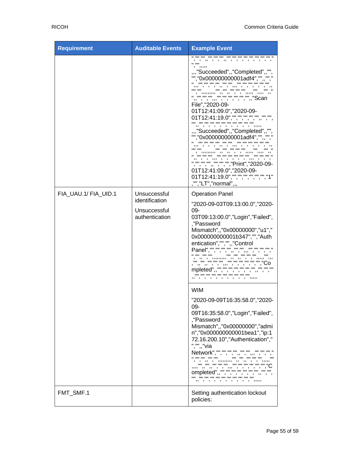| <b>Requirement</b>   | <b>Auditable Events</b>                                          | <b>Example Event</b>                                                                                                                                                                                                                                                                                                                                                                                                                                                                                                                          |
|----------------------|------------------------------------------------------------------|-----------------------------------------------------------------------------------------------------------------------------------------------------------------------------------------------------------------------------------------------------------------------------------------------------------------------------------------------------------------------------------------------------------------------------------------------------------------------------------------------------------------------------------------------|
|                      |                                                                  | .<br><br>,, , , ,, , , , , , ,<br>, ,<br>0.001<br>, ,,,,,<br>",,"Succeeded",,"Completed",,"<br>"","0x00000000001adf4",<br>,, , ,,, , ,<br>,,,<br><br>"",",",,,,,,,,,,,,,",","Scan<br>File", "2020-09-<br>01T12:41:09.0", "2020-09-<br>01T12:41:19.0","","","","","","","","",<br>, , , , , , , ,<br>",,"Succeeded",,"Completed",,"",<br>"","0x000000000001adf4","",,"","<br>, , , ,<br>, ,,, ,<br>", "", "", "", "", "", "", "Print", "2020-09-<br>01T12:41:09.0","2020-09-<br>01T12:41:19.0","","","","","","","","1"<br>,"","LT","normal",, |
| FIA_UAU.1/ FIA_UID.1 | Unsuccessful<br>identification<br>Unsuccessful<br>authentication | <b>Operation Panel</b><br>"2020-09-03T09:13:00.0", "2020-<br>09-<br>03T09:13:00.0", "Login", "Failed",<br>,"Password<br>Mismatch",,"0x00000000","u1","<br>0x000000000001b347","","Auth<br>entication","","",,"Control<br>Panel", "", "", "", "", ""<br>.<br><br>11 H<br>, ,, , ,,,,,,,,, ,, ,, , ,,,,,<br>, ,,, , , , , , ,<br>mpleted",,"",",",",",                                                                                                                                                                                          |
|                      |                                                                  | <b>WIM</b><br>"2020-09-09T16:35:58.0", "2020-<br>09-<br>09T16:35:58.0", "Login", "Failed",<br>,"Password<br>Mismatch", "0x00000000", "admi<br>n","0x000000000001bea1","ip:1<br>72.16.200.10", "Authentication","<br>", "",, "via                                                                                                                                                                                                                                                                                                              |
| FMT_SMF.1            |                                                                  | ompleted",,"","","","","","","","","",<br>,, , , , , , , , , , ,,,,,<br>Setting authentication lockout<br>policies:                                                                                                                                                                                                                                                                                                                                                                                                                           |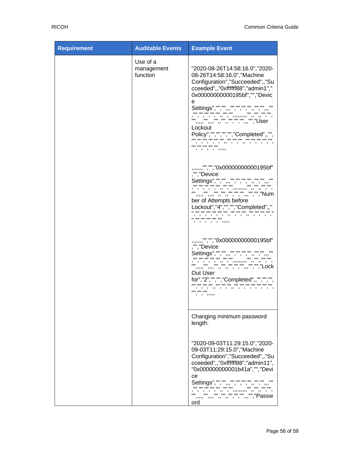| <b>Requirement</b> | <b>Auditable Events</b>            | <b>Example Event</b>                                                                                                                                                                                                                                                                 |
|--------------------|------------------------------------|--------------------------------------------------------------------------------------------------------------------------------------------------------------------------------------------------------------------------------------------------------------------------------------|
|                    | Use of a<br>management<br>function | "2020-08-26T14:58:16.0", "2020-<br>08-26T14:58:16.0", "Machine<br>Configuration", "Succeeded", , "Su<br>cceeded",,"0xffffff88","admin1","<br>0x00000000000195bf","","Devic<br>е<br>Lockout<br>Policy","","","","","Completed",,"",<br>, , , , , ,, , , ,, , , , , ,<br>, , , , ,,,,, |
|                    |                                    | ,,,,,,,"","","0x00000000000195bf"<br>,"","Device<br>ber of Attempts before<br>Lockout","4","","","Completed",,"<br>, , , , , , ,, , ,, , , , , ,<br>.<br>, , , , , , , , ,                                                                                                           |
|                    |                                    | ,,,,,,,"","","0x00000000000195bf"<br>,"","Device<br>"" "" "" "" "" "" "" "","Lock<br>Out User<br>for","2","","","Completed",,"","","",<br>, , , , , , , , , , , , , , ,<br>.<br>, , , ,,,,                                                                                           |
|                    |                                    | Changing minimum password<br>length:                                                                                                                                                                                                                                                 |
|                    |                                    | "2020-09-03T11:29:15.0","2020-<br>09-03T11:29:15.0", "Machine<br>Configuration", "Succeeded",, "Su<br>cceeded",,"0xffffff88","admin11",<br>"0x000000000001b41a","","Devi<br>ce<br>Settings", "", "", ,"", "", "", "", "", ", ,, ,<br>"" "" "" "" "" "" "" "" "Passw<br>ord           |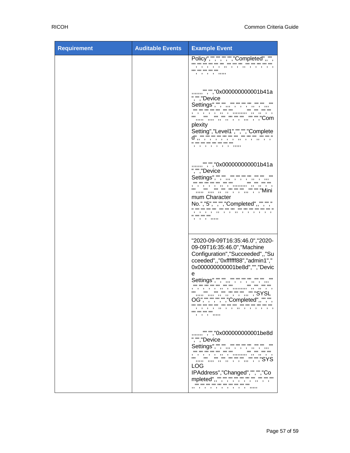| <b>Requirement</b> | <b>Auditable Events</b> | <b>Example Event</b>                                                                                                                                                                                                                                                                                                                            |
|--------------------|-------------------------|-------------------------------------------------------------------------------------------------------------------------------------------------------------------------------------------------------------------------------------------------------------------------------------------------------------------------------------------------|
|                    |                         | Policy","","","","","Completed",,"",<br>.<br>, , , , , ,,,,                                                                                                                                                                                                                                                                                     |
|                    |                         | ,,,,,,,"","","0x000000000001b41a<br>","","Device<br>" "" "" "" "" "" "" "" "" "Com<br>$\mathbf{u}$ $\mathbf{u}$<br>plexity<br>Setting","Level1","","","Complete<br>.<br>, , , , , , , , ,,,,                                                                                                                                                    |
|                    |                         | ,,,,,,,"","","0x000000000001b41a<br>","","Device<br>Settings", "", "", ,, "", "", "", ,"", "", "",<br>mum Character<br>No.","5","","","Completed",,"","","<br>, , , , ,, , ,, , , , , , ,<br>.<br>, , , ,,,,,                                                                                                                                   |
|                    |                         | "2020-09-09T16:35:46.0", "2020-<br>09-09T16:35:46.0", "Machine<br>Configuration", "Succeeded",, "Su<br>cceeded",,"0xffffff88","admin1","<br>0x000000000001be8d","","Devic<br>e<br>Settings", "", "", ,, "", "", "", "", "", "",<br>, , , , , , , ,<br><br>OG","","","","","Completed",,"","",<br>, , , , ,, , ,, , , , , , ,<br><br>, , , ,,,,, |
|                    |                         | ,,,,,,,"","","0x000000000001be8d<br>","","Device<br>"" "" "" "" "" "" "" "","SYS<br>LOG<br>IPAddress","Changed","","","Co<br>mpleted",,"","","","",",",",",","",""<br>                                                                                                                                                                          |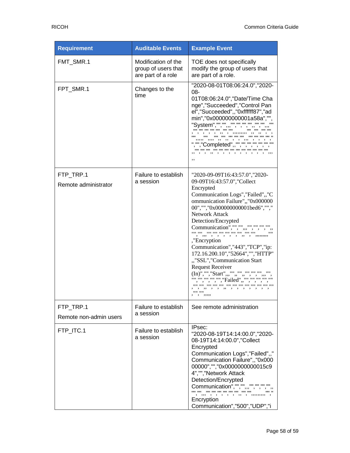| <b>Requirement</b>                  | <b>Auditable Events</b>                                          | <b>Example Event</b>                                                                                                                                                                                                                                                                                                                                                                                                                                                                                                               |
|-------------------------------------|------------------------------------------------------------------|------------------------------------------------------------------------------------------------------------------------------------------------------------------------------------------------------------------------------------------------------------------------------------------------------------------------------------------------------------------------------------------------------------------------------------------------------------------------------------------------------------------------------------|
| FMT_SMR.1                           | Modification of the<br>group of users that<br>are part of a role | TOE does not specifically<br>modify the group of users that<br>are part of a role.                                                                                                                                                                                                                                                                                                                                                                                                                                                 |
| FPT_SMR.1                           | Changes to the<br>time                                           | "2020-08-01T08:06:24.0", "2020-<br>08-<br>01T08:06:24.0", "Date/Time Cha<br>nge", "Succeeded", "Control Pan<br>el","Succeeded",,"0xffffff87","ad<br>min","0x000000000001a58a","",<br><b>00-00-00-00-</b><br>"System","","",,,""<br>,,,,, ,,,,<br>","","Completed",,"","","","","",""<br>,,                                                                                                                                                                                                                                         |
| FTP_TRP.1<br>Remote administrator   | Failure to establish<br>a session                                | "2020-09-09T16:43:57.0","2020-<br>09-09T16:43:57.0","Collect<br>Encrypted<br>Communication Logs", "Failed",, "C<br>ommunication Failure",,"0x000000<br>00","","0x000000000001bed6","","<br>Network Attack<br>Detection/Encrypted<br>Communication","","",<br>,"Encryption<br>Communication","443","TCP","ip:<br>172.16.200.10","52664","","HTTP"<br>""SSL","Communication Start<br><b>Request Receiver</b><br>(In)","","Start",,,"",,"",,"","","",""<br>"", "", "", "", "Failed",, "", "", "", "",<br>, , ,, , ,, , ,<br>1111.1111 |
| FTP_TRP.1<br>Remote non-admin users | Failure to establish<br>a session                                | See remote administration                                                                                                                                                                                                                                                                                                                                                                                                                                                                                                          |
| FTP_ITC.1                           | Failure to establish<br>a session                                | IPsec:<br>"2020-08-19T14:14:00.0","2020-<br>08-19T14:14:00.0", "Collect<br>Encrypted<br>Communication Logs", "Failed",,"<br>Communication Failure",,"0x000<br>00000", "", "0x0000000000015c9<br>4","","Network Attack<br>Detection/Encrypted<br>Communication", "", "", ,, , "", "", "", "",<br>Encryption<br>Communication", "500", "UDP", "i                                                                                                                                                                                     |